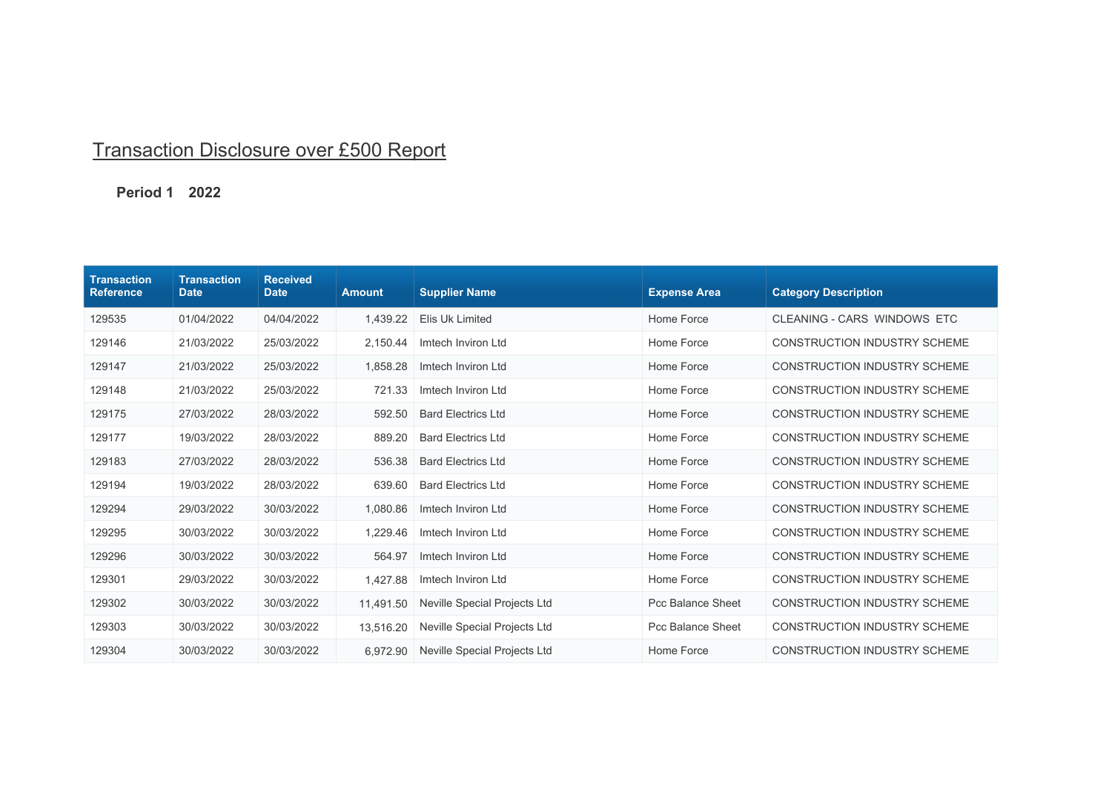## Transaction Disclosure over £500 Report

## **Period 1 2022**

| <b>Transaction</b><br><b>Reference</b> | <b>Transaction</b><br><b>Date</b> | <b>Received</b><br><b>Date</b> | <b>Amount</b> | <b>Supplier Name</b>         | <b>Expense Area</b>      | <b>Category Description</b>         |
|----------------------------------------|-----------------------------------|--------------------------------|---------------|------------------------------|--------------------------|-------------------------------------|
| 129535                                 | 01/04/2022                        | 04/04/2022                     | 1.439.22      | Elis Uk Limited              | Home Force               | CLEANING - CARS WINDOWS ETC         |
| 129146                                 | 21/03/2022                        | 25/03/2022                     | 2,150.44      | Imtech Inviron Ltd           | Home Force               | <b>CONSTRUCTION INDUSTRY SCHEME</b> |
| 129147                                 | 21/03/2022                        | 25/03/2022                     | 1,858.28      | Imtech Inviron Ltd           | Home Force               | <b>CONSTRUCTION INDUSTRY SCHEME</b> |
| 129148                                 | 21/03/2022                        | 25/03/2022                     | 721.33        | Imtech Inviron Ltd           | Home Force               | <b>CONSTRUCTION INDUSTRY SCHEME</b> |
| 129175                                 | 27/03/2022                        | 28/03/2022                     | 592.50        | <b>Bard Electrics Ltd</b>    | Home Force               | <b>CONSTRUCTION INDUSTRY SCHEME</b> |
| 129177                                 | 19/03/2022                        | 28/03/2022                     | 889.20        | <b>Bard Electrics Ltd</b>    | Home Force               | <b>CONSTRUCTION INDUSTRY SCHEME</b> |
| 129183                                 | 27/03/2022                        | 28/03/2022                     | 536.38        | <b>Bard Electrics Ltd</b>    | Home Force               | <b>CONSTRUCTION INDUSTRY SCHEME</b> |
| 129194                                 | 19/03/2022                        | 28/03/2022                     | 639.60        | <b>Bard Electrics Ltd</b>    | Home Force               | <b>CONSTRUCTION INDUSTRY SCHEME</b> |
| 129294                                 | 29/03/2022                        | 30/03/2022                     | 1,080.86      | Imtech Inviron Ltd           | Home Force               | <b>CONSTRUCTION INDUSTRY SCHEME</b> |
| 129295                                 | 30/03/2022                        | 30/03/2022                     | 1,229.46      | Imtech Inviron Ltd           | Home Force               | <b>CONSTRUCTION INDUSTRY SCHEME</b> |
| 129296                                 | 30/03/2022                        | 30/03/2022                     | 564.97        | Imtech Inviron Ltd           | Home Force               | <b>CONSTRUCTION INDUSTRY SCHEME</b> |
| 129301                                 | 29/03/2022                        | 30/03/2022                     | 1,427.88      | Imtech Inviron Ltd           | Home Force               | <b>CONSTRUCTION INDUSTRY SCHEME</b> |
| 129302                                 | 30/03/2022                        | 30/03/2022                     | 11,491.50     | Neville Special Projects Ltd | <b>Pcc Balance Sheet</b> | <b>CONSTRUCTION INDUSTRY SCHEME</b> |
| 129303                                 | 30/03/2022                        | 30/03/2022                     | 13,516.20     | Neville Special Projects Ltd | <b>Pcc Balance Sheet</b> | <b>CONSTRUCTION INDUSTRY SCHEME</b> |
| 129304                                 | 30/03/2022                        | 30/03/2022                     | 6.972.90      | Neville Special Projects Ltd | Home Force               | <b>CONSTRUCTION INDUSTRY SCHEME</b> |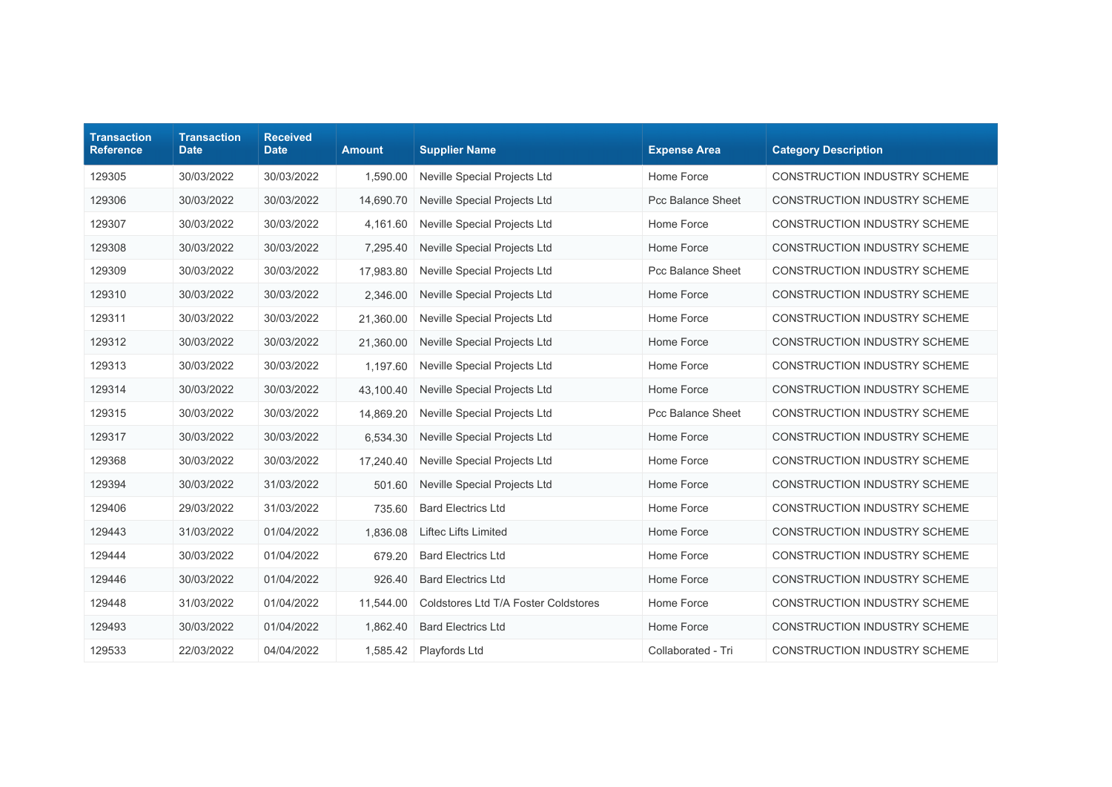| <b>Transaction</b><br><b>Reference</b> | <b>Transaction</b><br><b>Date</b> | <b>Received</b><br><b>Date</b> | <b>Amount</b> | <b>Supplier Name</b>                 | <b>Expense Area</b>      | <b>Category Description</b>         |
|----------------------------------------|-----------------------------------|--------------------------------|---------------|--------------------------------------|--------------------------|-------------------------------------|
| 129305                                 | 30/03/2022                        | 30/03/2022                     | 1,590.00      | Neville Special Projects Ltd         | Home Force               | <b>CONSTRUCTION INDUSTRY SCHEME</b> |
| 129306                                 | 30/03/2022                        | 30/03/2022                     | 14,690.70     | Neville Special Projects Ltd         | <b>Pcc Balance Sheet</b> | <b>CONSTRUCTION INDUSTRY SCHEME</b> |
| 129307                                 | 30/03/2022                        | 30/03/2022                     | 4,161.60      | <b>Neville Special Projects Ltd</b>  | Home Force               | <b>CONSTRUCTION INDUSTRY SCHEME</b> |
| 129308                                 | 30/03/2022                        | 30/03/2022                     | 7,295.40      | Neville Special Projects Ltd         | Home Force               | <b>CONSTRUCTION INDUSTRY SCHEME</b> |
| 129309                                 | 30/03/2022                        | 30/03/2022                     | 17,983.80     | Neville Special Projects Ltd         | Pcc Balance Sheet        | <b>CONSTRUCTION INDUSTRY SCHEME</b> |
| 129310                                 | 30/03/2022                        | 30/03/2022                     | 2,346.00      | Neville Special Projects Ltd         | Home Force               | <b>CONSTRUCTION INDUSTRY SCHEME</b> |
| 129311                                 | 30/03/2022                        | 30/03/2022                     | 21,360.00     | Neville Special Projects Ltd         | Home Force               | <b>CONSTRUCTION INDUSTRY SCHEME</b> |
| 129312                                 | 30/03/2022                        | 30/03/2022                     | 21,360.00     | Neville Special Projects Ltd         | Home Force               | <b>CONSTRUCTION INDUSTRY SCHEME</b> |
| 129313                                 | 30/03/2022                        | 30/03/2022                     | 1,197.60      | Neville Special Projects Ltd         | Home Force               | <b>CONSTRUCTION INDUSTRY SCHEME</b> |
| 129314                                 | 30/03/2022                        | 30/03/2022                     | 43,100.40     | Neville Special Projects Ltd         | Home Force               | <b>CONSTRUCTION INDUSTRY SCHEME</b> |
| 129315                                 | 30/03/2022                        | 30/03/2022                     | 14,869.20     | <b>Neville Special Projects Ltd</b>  | <b>Pcc Balance Sheet</b> | <b>CONSTRUCTION INDUSTRY SCHEME</b> |
| 129317                                 | 30/03/2022                        | 30/03/2022                     | 6,534.30      | Neville Special Projects Ltd         | Home Force               | <b>CONSTRUCTION INDUSTRY SCHEME</b> |
| 129368                                 | 30/03/2022                        | 30/03/2022                     | 17,240.40     | Neville Special Projects Ltd         | Home Force               | <b>CONSTRUCTION INDUSTRY SCHEME</b> |
| 129394                                 | 30/03/2022                        | 31/03/2022                     | 501.60        | Neville Special Projects Ltd         | Home Force               | <b>CONSTRUCTION INDUSTRY SCHEME</b> |
| 129406                                 | 29/03/2022                        | 31/03/2022                     | 735.60        | <b>Bard Electrics Ltd</b>            | Home Force               | <b>CONSTRUCTION INDUSTRY SCHEME</b> |
| 129443                                 | 31/03/2022                        | 01/04/2022                     | 1,836.08      | <b>Liftec Lifts Limited</b>          | Home Force               | <b>CONSTRUCTION INDUSTRY SCHEME</b> |
| 129444                                 | 30/03/2022                        | 01/04/2022                     | 679.20        | <b>Bard Electrics Ltd</b>            | Home Force               | <b>CONSTRUCTION INDUSTRY SCHEME</b> |
| 129446                                 | 30/03/2022                        | 01/04/2022                     | 926.40        | <b>Bard Electrics Ltd</b>            | Home Force               | <b>CONSTRUCTION INDUSTRY SCHEME</b> |
| 129448                                 | 31/03/2022                        | 01/04/2022                     | 11,544.00     | Coldstores Ltd T/A Foster Coldstores | Home Force               | <b>CONSTRUCTION INDUSTRY SCHEME</b> |
| 129493                                 | 30/03/2022                        | 01/04/2022                     | 1,862.40      | <b>Bard Electrics Ltd</b>            | Home Force               | <b>CONSTRUCTION INDUSTRY SCHEME</b> |
| 129533                                 | 22/03/2022                        | 04/04/2022                     | 1,585.42      | Playfords Ltd                        | Collaborated - Tri       | <b>CONSTRUCTION INDUSTRY SCHEME</b> |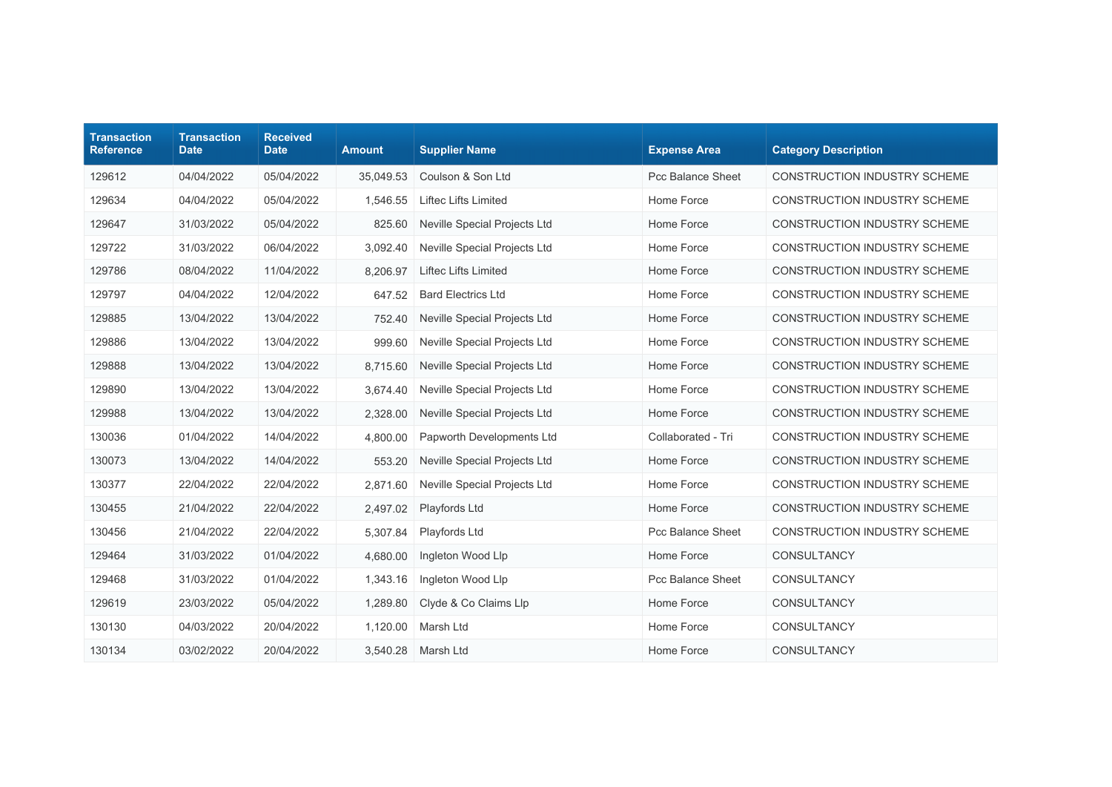| <b>Transaction</b><br><b>Reference</b> | <b>Transaction</b><br><b>Date</b> | <b>Received</b><br><b>Date</b> | <b>Amount</b> | <b>Supplier Name</b>                | <b>Expense Area</b>      | <b>Category Description</b>         |
|----------------------------------------|-----------------------------------|--------------------------------|---------------|-------------------------------------|--------------------------|-------------------------------------|
| 129612                                 | 04/04/2022                        | 05/04/2022                     | 35,049.53     | Coulson & Son Ltd                   | Pcc Balance Sheet        | <b>CONSTRUCTION INDUSTRY SCHEME</b> |
| 129634                                 | 04/04/2022                        | 05/04/2022                     | 1.546.55      | Liftec Lifts Limited                | Home Force               | CONSTRUCTION INDUSTRY SCHEME        |
| 129647                                 | 31/03/2022                        | 05/04/2022                     | 825.60        | Neville Special Projects Ltd        | Home Force               | <b>CONSTRUCTION INDUSTRY SCHEME</b> |
| 129722                                 | 31/03/2022                        | 06/04/2022                     | 3,092.40      | Neville Special Projects Ltd        | Home Force               | CONSTRUCTION INDUSTRY SCHEME        |
| 129786                                 | 08/04/2022                        | 11/04/2022                     | 8,206.97      | <b>Liftec Lifts Limited</b>         | Home Force               | <b>CONSTRUCTION INDUSTRY SCHEME</b> |
| 129797                                 | 04/04/2022                        | 12/04/2022                     | 647.52        | <b>Bard Electrics Ltd</b>           | Home Force               | CONSTRUCTION INDUSTRY SCHEME        |
| 129885                                 | 13/04/2022                        | 13/04/2022                     | 752.40        | Neville Special Projects Ltd        | Home Force               | CONSTRUCTION INDUSTRY SCHEME        |
| 129886                                 | 13/04/2022                        | 13/04/2022                     | 999.60        | Neville Special Projects Ltd        | Home Force               | CONSTRUCTION INDUSTRY SCHEME        |
| 129888                                 | 13/04/2022                        | 13/04/2022                     | 8.715.60      | <b>Neville Special Projects Ltd</b> | Home Force               | CONSTRUCTION INDUSTRY SCHEME        |
| 129890                                 | 13/04/2022                        | 13/04/2022                     | 3,674.40      | Neville Special Projects Ltd        | Home Force               | CONSTRUCTION INDUSTRY SCHEME        |
| 129988                                 | 13/04/2022                        | 13/04/2022                     | 2,328.00      | <b>Neville Special Projects Ltd</b> | Home Force               | <b>CONSTRUCTION INDUSTRY SCHEME</b> |
| 130036                                 | 01/04/2022                        | 14/04/2022                     | 4,800.00      | Papworth Developments Ltd           | Collaborated - Tri       | CONSTRUCTION INDUSTRY SCHEME        |
| 130073                                 | 13/04/2022                        | 14/04/2022                     | 553.20        | Neville Special Projects Ltd        | Home Force               | CONSTRUCTION INDUSTRY SCHEME        |
| 130377                                 | 22/04/2022                        | 22/04/2022                     | 2,871.60      | Neville Special Projects Ltd        | Home Force               | <b>CONSTRUCTION INDUSTRY SCHEME</b> |
| 130455                                 | 21/04/2022                        | 22/04/2022                     | 2,497.02      | Playfords Ltd                       | Home Force               | CONSTRUCTION INDUSTRY SCHEME        |
| 130456                                 | 21/04/2022                        | 22/04/2022                     | 5,307.84      | Playfords Ltd                       | <b>Pcc Balance Sheet</b> | <b>CONSTRUCTION INDUSTRY SCHEME</b> |
| 129464                                 | 31/03/2022                        | 01/04/2022                     | 4,680.00      | Ingleton Wood Llp                   | Home Force               | <b>CONSULTANCY</b>                  |
| 129468                                 | 31/03/2022                        | 01/04/2022                     | 1,343.16      | Ingleton Wood Llp                   | Pcc Balance Sheet        | CONSULTANCY                         |
| 129619                                 | 23/03/2022                        | 05/04/2022                     | 1,289.80      | Clyde & Co Claims Llp               | Home Force               | <b>CONSULTANCY</b>                  |
| 130130                                 | 04/03/2022                        | 20/04/2022                     | 1,120.00      | Marsh Ltd                           | Home Force               | CONSULTANCY                         |
| 130134                                 | 03/02/2022                        | 20/04/2022                     | 3,540.28      | Marsh Ltd                           | Home Force               | <b>CONSULTANCY</b>                  |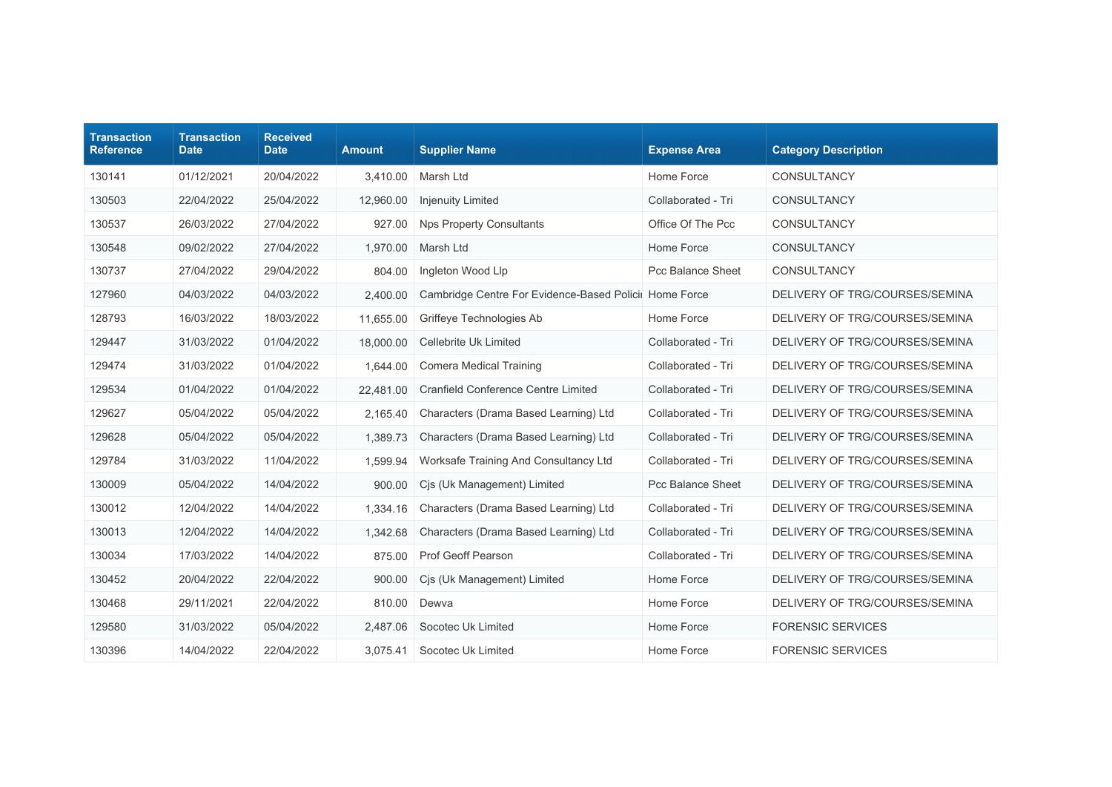| <b>Transaction</b><br><b>Reference</b> | <b>Transaction</b><br><b>Date</b> | <b>Received</b><br><b>Date</b> | <b>Amount</b> | <b>Supplier Name</b>                                   | <b>Expense Area</b>      | <b>Category Description</b>    |
|----------------------------------------|-----------------------------------|--------------------------------|---------------|--------------------------------------------------------|--------------------------|--------------------------------|
| 130141                                 | 01/12/2021                        | 20/04/2022                     | 3,410.00      | Marsh Ltd                                              | Home Force               | CONSULTANCY                    |
| 130503                                 | 22/04/2022                        | 25/04/2022                     | 12.960.00     | <b>Injenuity Limited</b>                               | Collaborated - Tri       | CONSULTANCY                    |
| 130537                                 | 26/03/2022                        | 27/04/2022                     | 927.00        | <b>Nps Property Consultants</b>                        | Office Of The Pcc        | CONSULTANCY                    |
| 130548                                 | 09/02/2022                        | 27/04/2022                     | 1,970.00      | Marsh Ltd                                              | Home Force               | CONSULTANCY                    |
| 130737                                 | 27/04/2022                        | 29/04/2022                     | 804.00        | Ingleton Wood Llp                                      | <b>Pcc Balance Sheet</b> | CONSULTANCY                    |
| 127960                                 | 04/03/2022                        | 04/03/2022                     | 2,400.00      | Cambridge Centre For Evidence-Based Policii Home Force |                          | DELIVERY OF TRG/COURSES/SEMINA |
| 128793                                 | 16/03/2022                        | 18/03/2022                     | 11,655.00     | Griffeye Technologies Ab                               | Home Force               | DELIVERY OF TRG/COURSES/SEMINA |
| 129447                                 | 31/03/2022                        | 01/04/2022                     | 18,000.00     | Cellebrite Uk Limited                                  | Collaborated - Tri       | DELIVERY OF TRG/COURSES/SEMINA |
| 129474                                 | 31/03/2022                        | 01/04/2022                     | 1,644.00      | <b>Comera Medical Training</b>                         | Collaborated - Tri       | DELIVERY OF TRG/COURSES/SEMINA |
| 129534                                 | 01/04/2022                        | 01/04/2022                     | 22,481.00     | <b>Cranfield Conference Centre Limited</b>             | Collaborated - Tri       | DELIVERY OF TRG/COURSES/SEMINA |
| 129627                                 | 05/04/2022                        | 05/04/2022                     | 2,165.40      | Characters (Drama Based Learning) Ltd                  | Collaborated - Tri       | DELIVERY OF TRG/COURSES/SEMINA |
| 129628                                 | 05/04/2022                        | 05/04/2022                     | 1,389.73      | Characters (Drama Based Learning) Ltd                  | Collaborated - Tri       | DELIVERY OF TRG/COURSES/SEMINA |
| 129784                                 | 31/03/2022                        | 11/04/2022                     | 1,599.94      | Worksafe Training And Consultancy Ltd                  | Collaborated - Tri       | DELIVERY OF TRG/COURSES/SEMINA |
| 130009                                 | 05/04/2022                        | 14/04/2022                     | 900.00        | Cis (Uk Management) Limited                            | <b>Pcc Balance Sheet</b> | DELIVERY OF TRG/COURSES/SEMINA |
| 130012                                 | 12/04/2022                        | 14/04/2022                     | 1,334.16      | Characters (Drama Based Learning) Ltd                  | Collaborated - Tri       | DELIVERY OF TRG/COURSES/SEMINA |
| 130013                                 | 12/04/2022                        | 14/04/2022                     | 1,342.68      | Characters (Drama Based Learning) Ltd                  | Collaborated - Tri       | DELIVERY OF TRG/COURSES/SEMINA |
| 130034                                 | 17/03/2022                        | 14/04/2022                     | 875.00        | Prof Geoff Pearson                                     | Collaborated - Tri       | DELIVERY OF TRG/COURSES/SEMINA |
| 130452                                 | 20/04/2022                        | 22/04/2022                     | 900.00        | Cis (Uk Management) Limited                            | Home Force               | DELIVERY OF TRG/COURSES/SEMINA |
| 130468                                 | 29/11/2021                        | 22/04/2022                     | 810.00        | Dewva                                                  | Home Force               | DELIVERY OF TRG/COURSES/SEMINA |
| 129580                                 | 31/03/2022                        | 05/04/2022                     | 2,487.06      | Socotec Uk Limited                                     | Home Force               | <b>FORENSIC SERVICES</b>       |
| 130396                                 | 14/04/2022                        | 22/04/2022                     | 3,075.41      | Socotec Uk Limited                                     | Home Force               | <b>FORENSIC SERVICES</b>       |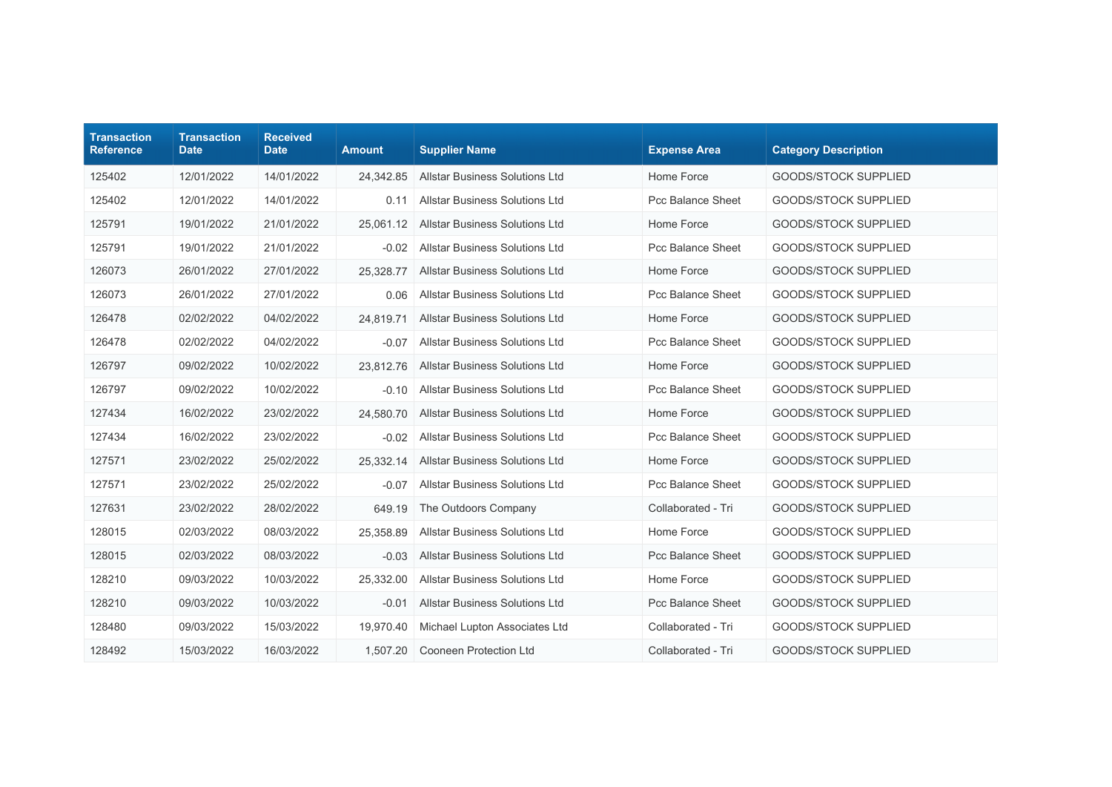| <b>Transaction</b><br><b>Reference</b> | <b>Transaction</b><br><b>Date</b> | <b>Received</b><br><b>Date</b> | <b>Amount</b> | <b>Supplier Name</b>                  | <b>Expense Area</b>      | <b>Category Description</b> |
|----------------------------------------|-----------------------------------|--------------------------------|---------------|---------------------------------------|--------------------------|-----------------------------|
| 125402                                 | 12/01/2022                        | 14/01/2022                     | 24,342.85     | <b>Allstar Business Solutions Ltd</b> | Home Force               | <b>GOODS/STOCK SUPPLIED</b> |
| 125402                                 | 12/01/2022                        | 14/01/2022                     | 0.11          | <b>Allstar Business Solutions Ltd</b> | <b>Pcc Balance Sheet</b> | <b>GOODS/STOCK SUPPLIED</b> |
| 125791                                 | 19/01/2022                        | 21/01/2022                     | 25,061.12     | <b>Allstar Business Solutions Ltd</b> | Home Force               | <b>GOODS/STOCK SUPPLIED</b> |
| 125791                                 | 19/01/2022                        | 21/01/2022                     | $-0.02$       | <b>Allstar Business Solutions Ltd</b> | Pcc Balance Sheet        | <b>GOODS/STOCK SUPPLIED</b> |
| 126073                                 | 26/01/2022                        | 27/01/2022                     | 25,328.77     | <b>Allstar Business Solutions Ltd</b> | Home Force               | <b>GOODS/STOCK SUPPLIED</b> |
| 126073                                 | 26/01/2022                        | 27/01/2022                     | 0.06          | <b>Allstar Business Solutions Ltd</b> | Pcc Balance Sheet        | GOODS/STOCK SUPPLIED        |
| 126478                                 | 02/02/2022                        | 04/02/2022                     | 24,819.71     | <b>Allstar Business Solutions Ltd</b> | Home Force               | <b>GOODS/STOCK SUPPLIED</b> |
| 126478                                 | 02/02/2022                        | 04/02/2022                     | $-0.07$       | <b>Allstar Business Solutions Ltd</b> | Pcc Balance Sheet        | <b>GOODS/STOCK SUPPLIED</b> |
| 126797                                 | 09/02/2022                        | 10/02/2022                     | 23,812.76     | <b>Allstar Business Solutions Ltd</b> | Home Force               | <b>GOODS/STOCK SUPPLIED</b> |
| 126797                                 | 09/02/2022                        | 10/02/2022                     | $-0.10$       | <b>Allstar Business Solutions Ltd</b> | Pcc Balance Sheet        | <b>GOODS/STOCK SUPPLIED</b> |
| 127434                                 | 16/02/2022                        | 23/02/2022                     | 24,580.70     | <b>Allstar Business Solutions Ltd</b> | Home Force               | <b>GOODS/STOCK SUPPLIED</b> |
| 127434                                 | 16/02/2022                        | 23/02/2022                     | $-0.02$       | <b>Allstar Business Solutions Ltd</b> | Pcc Balance Sheet        | GOODS/STOCK SUPPLIED        |
| 127571                                 | 23/02/2022                        | 25/02/2022                     | 25,332.14     | <b>Allstar Business Solutions Ltd</b> | Home Force               | GOODS/STOCK SUPPLIED        |
| 127571                                 | 23/02/2022                        | 25/02/2022                     | $-0.07$       | <b>Allstar Business Solutions Ltd</b> | Pcc Balance Sheet        | <b>GOODS/STOCK SUPPLIED</b> |
| 127631                                 | 23/02/2022                        | 28/02/2022                     | 649.19        | The Outdoors Company                  | Collaborated - Tri       | <b>GOODS/STOCK SUPPLIED</b> |
| 128015                                 | 02/03/2022                        | 08/03/2022                     | 25,358.89     | <b>Allstar Business Solutions Ltd</b> | Home Force               | <b>GOODS/STOCK SUPPLIED</b> |
| 128015                                 | 02/03/2022                        | 08/03/2022                     | $-0.03$       | <b>Allstar Business Solutions Ltd</b> | Pcc Balance Sheet        | <b>GOODS/STOCK SUPPLIED</b> |
| 128210                                 | 09/03/2022                        | 10/03/2022                     | 25,332.00     | <b>Allstar Business Solutions Ltd</b> | Home Force               | <b>GOODS/STOCK SUPPLIED</b> |
| 128210                                 | 09/03/2022                        | 10/03/2022                     | $-0.01$       | <b>Allstar Business Solutions Ltd</b> | Pcc Balance Sheet        | <b>GOODS/STOCK SUPPLIED</b> |
| 128480                                 | 09/03/2022                        | 15/03/2022                     | 19.970.40     | Michael Lupton Associates Ltd         | Collaborated - Tri       | <b>GOODS/STOCK SUPPLIED</b> |
| 128492                                 | 15/03/2022                        | 16/03/2022                     | 1,507.20      | Cooneen Protection Ltd                | Collaborated - Tri       | <b>GOODS/STOCK SUPPLIED</b> |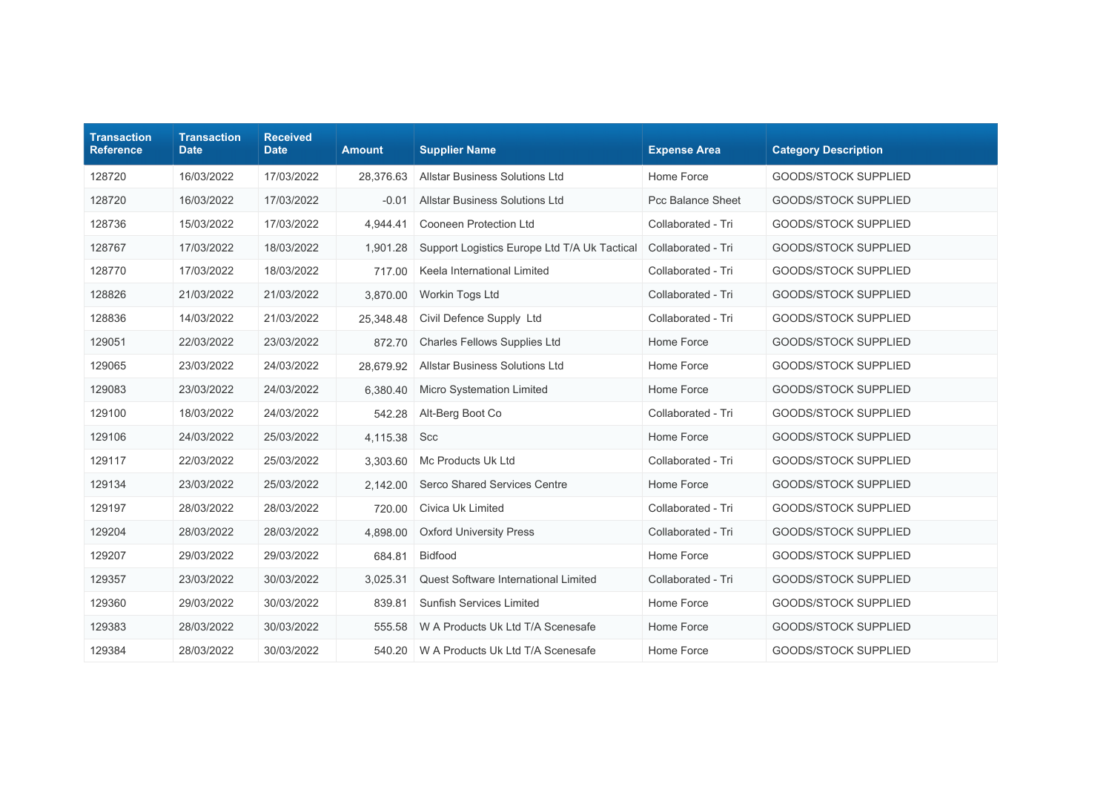| <b>Transaction</b><br><b>Reference</b> | <b>Transaction</b><br><b>Date</b> | <b>Received</b><br><b>Date</b> | <b>Amount</b> | <b>Supplier Name</b>                         | <b>Expense Area</b> | <b>Category Description</b> |
|----------------------------------------|-----------------------------------|--------------------------------|---------------|----------------------------------------------|---------------------|-----------------------------|
| 128720                                 | 16/03/2022                        | 17/03/2022                     | 28,376.63     | <b>Allstar Business Solutions Ltd</b>        | Home Force          | <b>GOODS/STOCK SUPPLIED</b> |
| 128720                                 | 16/03/2022                        | 17/03/2022                     | $-0.01$       | <b>Allstar Business Solutions Ltd</b>        | Pcc Balance Sheet   | <b>GOODS/STOCK SUPPLIED</b> |
| 128736                                 | 15/03/2022                        | 17/03/2022                     | 4,944.41      | Cooneen Protection Ltd                       | Collaborated - Tri  | <b>GOODS/STOCK SUPPLIED</b> |
| 128767                                 | 17/03/2022                        | 18/03/2022                     | 1,901.28      | Support Logistics Europe Ltd T/A Uk Tactical | Collaborated - Tri  | <b>GOODS/STOCK SUPPLIED</b> |
| 128770                                 | 17/03/2022                        | 18/03/2022                     | 717.00        | Keela International Limited                  | Collaborated - Tri  | <b>GOODS/STOCK SUPPLIED</b> |
| 128826                                 | 21/03/2022                        | 21/03/2022                     | 3,870.00      | Workin Togs Ltd                              | Collaborated - Tri  | <b>GOODS/STOCK SUPPLIED</b> |
| 128836                                 | 14/03/2022                        | 21/03/2022                     | 25,348.48     | Civil Defence Supply Ltd                     | Collaborated - Tri  | <b>GOODS/STOCK SUPPLIED</b> |
| 129051                                 | 22/03/2022                        | 23/03/2022                     | 872.70        | Charles Fellows Supplies Ltd                 | Home Force          | <b>GOODS/STOCK SUPPLIED</b> |
| 129065                                 | 23/03/2022                        | 24/03/2022                     | 28.679.92     | <b>Allstar Business Solutions Ltd</b>        | Home Force          | <b>GOODS/STOCK SUPPLIED</b> |
| 129083                                 | 23/03/2022                        | 24/03/2022                     | 6,380.40      | Micro Systemation Limited                    | Home Force          | <b>GOODS/STOCK SUPPLIED</b> |
| 129100                                 | 18/03/2022                        | 24/03/2022                     | 542.28        | Alt-Berg Boot Co                             | Collaborated - Tri  | <b>GOODS/STOCK SUPPLIED</b> |
| 129106                                 | 24/03/2022                        | 25/03/2022                     | 4,115.38      | Scc                                          | Home Force          | <b>GOODS/STOCK SUPPLIED</b> |
| 129117                                 | 22/03/2022                        | 25/03/2022                     | 3,303.60      | Mc Products Uk Ltd                           | Collaborated - Tri  | <b>GOODS/STOCK SUPPLIED</b> |
| 129134                                 | 23/03/2022                        | 25/03/2022                     | 2,142.00      | <b>Serco Shared Services Centre</b>          | Home Force          | <b>GOODS/STOCK SUPPLIED</b> |
| 129197                                 | 28/03/2022                        | 28/03/2022                     | 720.00        | Civica Uk Limited                            | Collaborated - Tri  | <b>GOODS/STOCK SUPPLIED</b> |
| 129204                                 | 28/03/2022                        | 28/03/2022                     | 4,898.00      | <b>Oxford University Press</b>               | Collaborated - Tri  | <b>GOODS/STOCK SUPPLIED</b> |
| 129207                                 | 29/03/2022                        | 29/03/2022                     | 684.81        | Bidfood                                      | Home Force          | <b>GOODS/STOCK SUPPLIED</b> |
| 129357                                 | 23/03/2022                        | 30/03/2022                     | 3,025.31      | Quest Software International Limited         | Collaborated - Tri  | <b>GOODS/STOCK SUPPLIED</b> |
| 129360                                 | 29/03/2022                        | 30/03/2022                     | 839.81        | <b>Sunfish Services Limited</b>              | Home Force          | <b>GOODS/STOCK SUPPLIED</b> |
| 129383                                 | 28/03/2022                        | 30/03/2022                     | 555.58        | W A Products Uk Ltd T/A Scenesafe            | Home Force          | <b>GOODS/STOCK SUPPLIED</b> |
| 129384                                 | 28/03/2022                        | 30/03/2022                     | 540.20        | W A Products Uk Ltd T/A Scenesafe            | Home Force          | <b>GOODS/STOCK SUPPLIED</b> |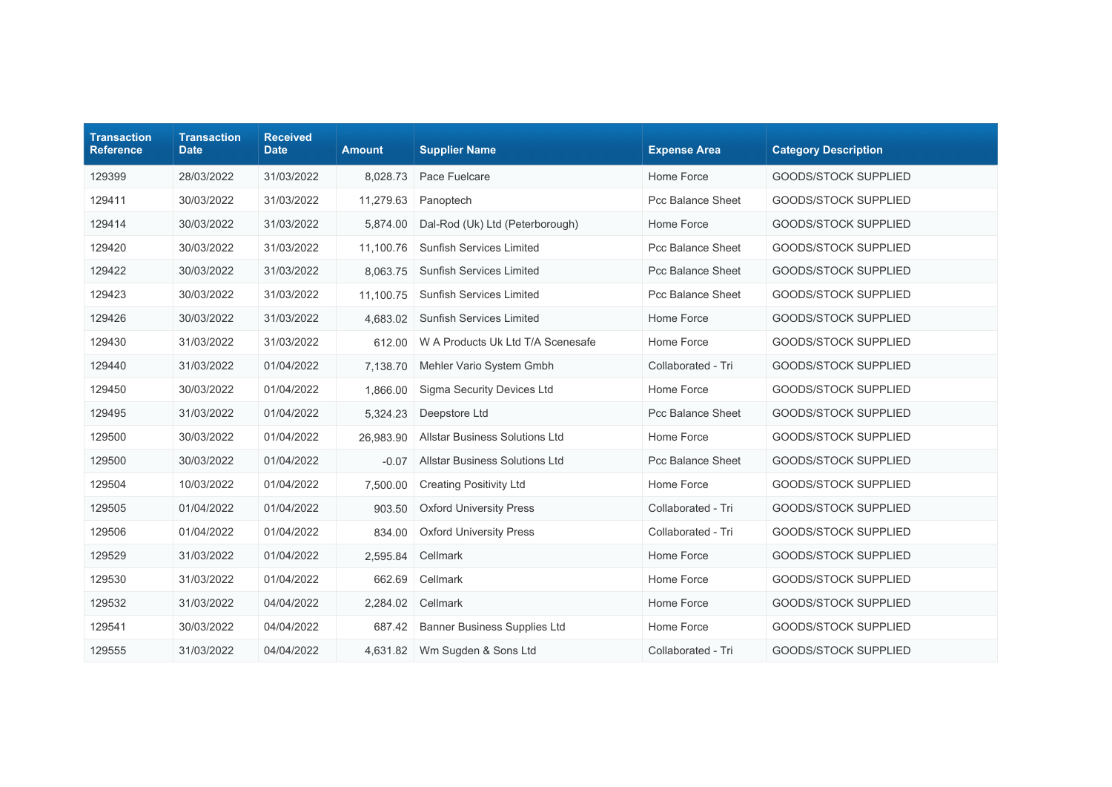| <b>Transaction</b><br><b>Reference</b> | <b>Transaction</b><br><b>Date</b> | <b>Received</b><br><b>Date</b> | <b>Amount</b> | <b>Supplier Name</b>                  | <b>Expense Area</b> | <b>Category Description</b> |
|----------------------------------------|-----------------------------------|--------------------------------|---------------|---------------------------------------|---------------------|-----------------------------|
| 129399                                 | 28/03/2022                        | 31/03/2022                     | 8,028.73      | Pace Fuelcare                         | Home Force          | <b>GOODS/STOCK SUPPLIED</b> |
| 129411                                 | 30/03/2022                        | 31/03/2022                     | 11,279.63     | Panoptech                             | Pcc Balance Sheet   | GOODS/STOCK SUPPLIED        |
| 129414                                 | 30/03/2022                        | 31/03/2022                     | 5,874.00      | Dal-Rod (Uk) Ltd (Peterborough)       | Home Force          | <b>GOODS/STOCK SUPPLIED</b> |
| 129420                                 | 30/03/2022                        | 31/03/2022                     | 11,100.76     | <b>Sunfish Services Limited</b>       | Pcc Balance Sheet   | GOODS/STOCK SUPPLIED        |
| 129422                                 | 30/03/2022                        | 31/03/2022                     | 8,063.75      | <b>Sunfish Services Limited</b>       | Pcc Balance Sheet   | <b>GOODS/STOCK SUPPLIED</b> |
| 129423                                 | 30/03/2022                        | 31/03/2022                     | 11,100.75     | <b>Sunfish Services Limited</b>       | Pcc Balance Sheet   | <b>GOODS/STOCK SUPPLIED</b> |
| 129426                                 | 30/03/2022                        | 31/03/2022                     | 4,683.02      | <b>Sunfish Services Limited</b>       | Home Force          | <b>GOODS/STOCK SUPPLIED</b> |
| 129430                                 | 31/03/2022                        | 31/03/2022                     | 612.00        | W A Products Uk Ltd T/A Scenesafe     | Home Force          | <b>GOODS/STOCK SUPPLIED</b> |
| 129440                                 | 31/03/2022                        | 01/04/2022                     | 7,138.70      | Mehler Vario System Gmbh              | Collaborated - Tri  | <b>GOODS/STOCK SUPPLIED</b> |
| 129450                                 | 30/03/2022                        | 01/04/2022                     | 1,866.00      | Sigma Security Devices Ltd            | Home Force          | <b>GOODS/STOCK SUPPLIED</b> |
| 129495                                 | 31/03/2022                        | 01/04/2022                     | 5,324.23      | Deepstore Ltd                         | Pcc Balance Sheet   | <b>GOODS/STOCK SUPPLIED</b> |
| 129500                                 | 30/03/2022                        | 01/04/2022                     | 26,983.90     | <b>Allstar Business Solutions Ltd</b> | Home Force          | <b>GOODS/STOCK SUPPLIED</b> |
| 129500                                 | 30/03/2022                        | 01/04/2022                     | $-0.07$       | <b>Allstar Business Solutions Ltd</b> | Pcc Balance Sheet   | GOODS/STOCK SUPPLIED        |
| 129504                                 | 10/03/2022                        | 01/04/2022                     | 7,500.00      | <b>Creating Positivity Ltd</b>        | Home Force          | <b>GOODS/STOCK SUPPLIED</b> |
| 129505                                 | 01/04/2022                        | 01/04/2022                     | 903.50        | <b>Oxford University Press</b>        | Collaborated - Tri  | <b>GOODS/STOCK SUPPLIED</b> |
| 129506                                 | 01/04/2022                        | 01/04/2022                     | 834.00        | <b>Oxford University Press</b>        | Collaborated - Tri  | <b>GOODS/STOCK SUPPLIED</b> |
| 129529                                 | 31/03/2022                        | 01/04/2022                     | 2,595.84      | Cellmark                              | Home Force          | <b>GOODS/STOCK SUPPLIED</b> |
| 129530                                 | 31/03/2022                        | 01/04/2022                     | 662.69        | Cellmark                              | Home Force          | GOODS/STOCK SUPPLIED        |
| 129532                                 | 31/03/2022                        | 04/04/2022                     | 2,284.02      | Cellmark                              | Home Force          | <b>GOODS/STOCK SUPPLIED</b> |
| 129541                                 | 30/03/2022                        | 04/04/2022                     | 687.42        | Banner Business Supplies Ltd          | Home Force          | <b>GOODS/STOCK SUPPLIED</b> |
| 129555                                 | 31/03/2022                        | 04/04/2022                     | 4,631.82      | Wm Sugden & Sons Ltd                  | Collaborated - Tri  | <b>GOODS/STOCK SUPPLIED</b> |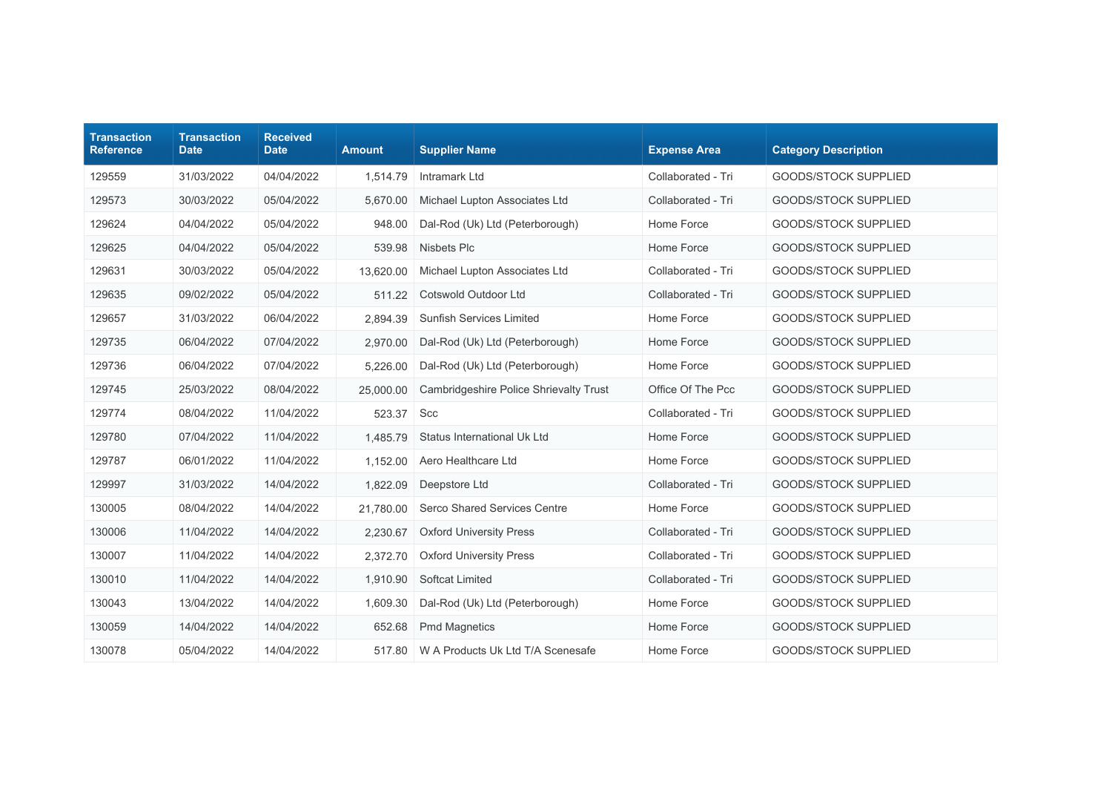| <b>Transaction</b><br><b>Reference</b> | <b>Transaction</b><br><b>Date</b> | <b>Received</b><br><b>Date</b> | <b>Amount</b> | <b>Supplier Name</b>                   | <b>Expense Area</b> | <b>Category Description</b> |
|----------------------------------------|-----------------------------------|--------------------------------|---------------|----------------------------------------|---------------------|-----------------------------|
| 129559                                 | 31/03/2022                        | 04/04/2022                     | 1,514.79      | Intramark Ltd                          | Collaborated - Tri  | <b>GOODS/STOCK SUPPLIED</b> |
| 129573                                 | 30/03/2022                        | 05/04/2022                     | 5,670.00      | Michael Lupton Associates Ltd          | Collaborated - Tri  | <b>GOODS/STOCK SUPPLIED</b> |
| 129624                                 | 04/04/2022                        | 05/04/2022                     | 948.00        | Dal-Rod (Uk) Ltd (Peterborough)        | Home Force          | <b>GOODS/STOCK SUPPLIED</b> |
| 129625                                 | 04/04/2022                        | 05/04/2022                     | 539.98        | <b>Nisbets Plc</b>                     | Home Force          | <b>GOODS/STOCK SUPPLIED</b> |
| 129631                                 | 30/03/2022                        | 05/04/2022                     | 13,620.00     | Michael Lupton Associates Ltd          | Collaborated - Tri  | GOODS/STOCK SUPPLIED        |
| 129635                                 | 09/02/2022                        | 05/04/2022                     | 511.22        | Cotswold Outdoor Ltd                   | Collaborated - Tri  | <b>GOODS/STOCK SUPPLIED</b> |
| 129657                                 | 31/03/2022                        | 06/04/2022                     | 2,894.39      | <b>Sunfish Services Limited</b>        | Home Force          | <b>GOODS/STOCK SUPPLIED</b> |
| 129735                                 | 06/04/2022                        | 07/04/2022                     | 2,970.00      | Dal-Rod (Uk) Ltd (Peterborough)        | Home Force          | <b>GOODS/STOCK SUPPLIED</b> |
| 129736                                 | 06/04/2022                        | 07/04/2022                     | 5.226.00      | Dal-Rod (Uk) Ltd (Peterborough)        | Home Force          | <b>GOODS/STOCK SUPPLIED</b> |
| 129745                                 | 25/03/2022                        | 08/04/2022                     | 25,000.00     | Cambridgeshire Police Shrievalty Trust | Office Of The Pcc   | <b>GOODS/STOCK SUPPLIED</b> |
| 129774                                 | 08/04/2022                        | 11/04/2022                     | 523.37        | Scc                                    | Collaborated - Tri  | <b>GOODS/STOCK SUPPLIED</b> |
| 129780                                 | 07/04/2022                        | 11/04/2022                     | 1,485.79      | Status International Uk Ltd            | Home Force          | <b>GOODS/STOCK SUPPLIED</b> |
| 129787                                 | 06/01/2022                        | 11/04/2022                     | 1,152.00      | Aero Healthcare Ltd                    | Home Force          | <b>GOODS/STOCK SUPPLIED</b> |
| 129997                                 | 31/03/2022                        | 14/04/2022                     | 1,822.09      | Deepstore Ltd                          | Collaborated - Tri  | <b>GOODS/STOCK SUPPLIED</b> |
| 130005                                 | 08/04/2022                        | 14/04/2022                     | 21,780.00     | Serco Shared Services Centre           | Home Force          | <b>GOODS/STOCK SUPPLIED</b> |
| 130006                                 | 11/04/2022                        | 14/04/2022                     | 2,230.67      | <b>Oxford University Press</b>         | Collaborated - Tri  | GOODS/STOCK SUPPLIED        |
| 130007                                 | 11/04/2022                        | 14/04/2022                     | 2,372.70      | <b>Oxford University Press</b>         | Collaborated - Tri  | <b>GOODS/STOCK SUPPLIED</b> |
| 130010                                 | 11/04/2022                        | 14/04/2022                     | 1,910.90      | Softcat Limited                        | Collaborated - Tri  | <b>GOODS/STOCK SUPPLIED</b> |
| 130043                                 | 13/04/2022                        | 14/04/2022                     | 1,609.30      | Dal-Rod (Uk) Ltd (Peterborough)        | Home Force          | <b>GOODS/STOCK SUPPLIED</b> |
| 130059                                 | 14/04/2022                        | 14/04/2022                     | 652.68        | <b>Pmd Magnetics</b>                   | Home Force          | <b>GOODS/STOCK SUPPLIED</b> |
| 130078                                 | 05/04/2022                        | 14/04/2022                     | 517.80        | W A Products Uk Ltd T/A Scenesafe      | Home Force          | <b>GOODS/STOCK SUPPLIED</b> |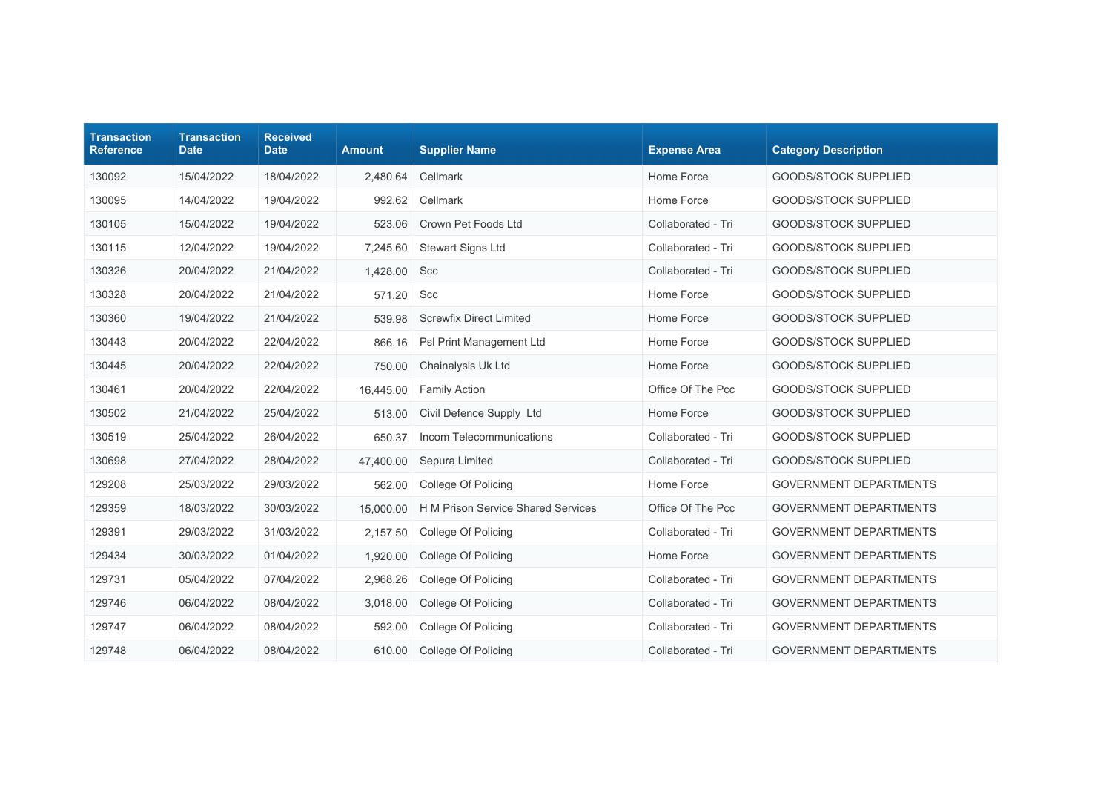| <b>Transaction</b><br><b>Reference</b> | <b>Transaction</b><br><b>Date</b> | <b>Received</b><br><b>Date</b> | <b>Amount</b> | <b>Supplier Name</b>               | <b>Expense Area</b> | <b>Category Description</b>   |
|----------------------------------------|-----------------------------------|--------------------------------|---------------|------------------------------------|---------------------|-------------------------------|
| 130092                                 | 15/04/2022                        | 18/04/2022                     | 2,480.64      | Cellmark                           | Home Force          | <b>GOODS/STOCK SUPPLIED</b>   |
| 130095                                 | 14/04/2022                        | 19/04/2022                     | 992.62        | Cellmark                           | Home Force          | <b>GOODS/STOCK SUPPLIED</b>   |
| 130105                                 | 15/04/2022                        | 19/04/2022                     | 523.06        | Crown Pet Foods Ltd                | Collaborated - Tri  | <b>GOODS/STOCK SUPPLIED</b>   |
| 130115                                 | 12/04/2022                        | 19/04/2022                     | 7,245.60      | Stewart Signs Ltd                  | Collaborated - Tri  | GOODS/STOCK SUPPLIED          |
| 130326                                 | 20/04/2022                        | 21/04/2022                     | 1,428.00      | Scc                                | Collaborated - Tri  | <b>GOODS/STOCK SUPPLIED</b>   |
| 130328                                 | 20/04/2022                        | 21/04/2022                     | 571.20        | Scc                                | Home Force          | <b>GOODS/STOCK SUPPLIED</b>   |
| 130360                                 | 19/04/2022                        | 21/04/2022                     | 539.98        | <b>Screwfix Direct Limited</b>     | Home Force          | <b>GOODS/STOCK SUPPLIED</b>   |
| 130443                                 | 20/04/2022                        | 22/04/2022                     | 866.16        | Psl Print Management Ltd           | Home Force          | <b>GOODS/STOCK SUPPLIED</b>   |
| 130445                                 | 20/04/2022                        | 22/04/2022                     | 750.00        | Chainalysis Uk Ltd                 | Home Force          | <b>GOODS/STOCK SUPPLIED</b>   |
| 130461                                 | 20/04/2022                        | 22/04/2022                     | 16,445.00     | <b>Family Action</b>               | Office Of The Pcc   | <b>GOODS/STOCK SUPPLIED</b>   |
| 130502                                 | 21/04/2022                        | 25/04/2022                     | 513.00        | Civil Defence Supply Ltd           | Home Force          | <b>GOODS/STOCK SUPPLIED</b>   |
| 130519                                 | 25/04/2022                        | 26/04/2022                     | 650.37        | Incom Telecommunications           | Collaborated - Tri  | <b>GOODS/STOCK SUPPLIED</b>   |
| 130698                                 | 27/04/2022                        | 28/04/2022                     | 47,400.00     | Sepura Limited                     | Collaborated - Tri  | GOODS/STOCK SUPPLIED          |
| 129208                                 | 25/03/2022                        | 29/03/2022                     | 562.00        | College Of Policing                | Home Force          | <b>GOVERNMENT DEPARTMENTS</b> |
| 129359                                 | 18/03/2022                        | 30/03/2022                     | 15,000.00     | H M Prison Service Shared Services | Office Of The Pcc   | <b>GOVERNMENT DEPARTMENTS</b> |
| 129391                                 | 29/03/2022                        | 31/03/2022                     | 2,157.50      | College Of Policing                | Collaborated - Tri  | <b>GOVERNMENT DEPARTMENTS</b> |
| 129434                                 | 30/03/2022                        | 01/04/2022                     | 1,920.00      | College Of Policing                | Home Force          | <b>GOVERNMENT DEPARTMENTS</b> |
| 129731                                 | 05/04/2022                        | 07/04/2022                     | 2,968.26      | College Of Policing                | Collaborated - Tri  | <b>GOVERNMENT DEPARTMENTS</b> |
| 129746                                 | 06/04/2022                        | 08/04/2022                     | 3,018.00      | College Of Policing                | Collaborated - Tri  | <b>GOVERNMENT DEPARTMENTS</b> |
| 129747                                 | 06/04/2022                        | 08/04/2022                     | 592.00        | College Of Policing                | Collaborated - Tri  | <b>GOVERNMENT DEPARTMENTS</b> |
| 129748                                 | 06/04/2022                        | 08/04/2022                     | 610.00        | College Of Policing                | Collaborated - Tri  | <b>GOVERNMENT DEPARTMENTS</b> |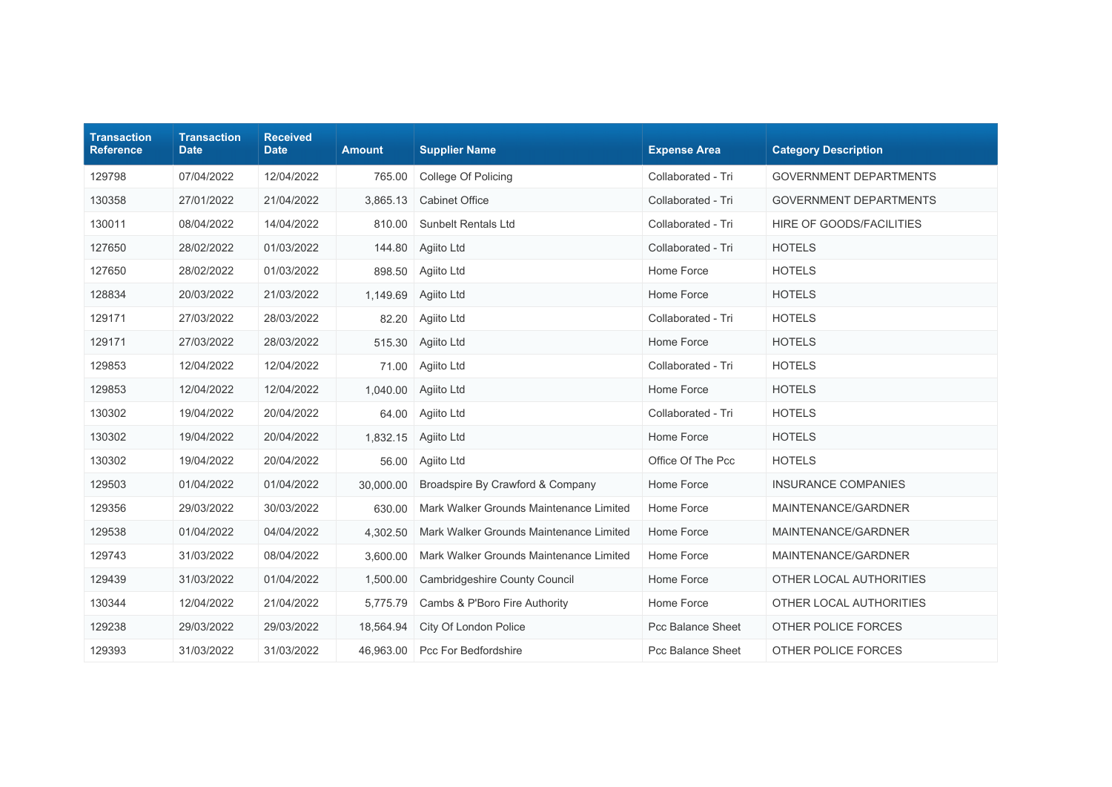| <b>Transaction</b><br><b>Reference</b> | <b>Transaction</b><br><b>Date</b> | <b>Received</b><br><b>Date</b> | <b>Amount</b> | <b>Supplier Name</b>                    | <b>Expense Area</b>      | <b>Category Description</b>   |
|----------------------------------------|-----------------------------------|--------------------------------|---------------|-----------------------------------------|--------------------------|-------------------------------|
| 129798                                 | 07/04/2022                        | 12/04/2022                     | 765.00        | College Of Policing                     | Collaborated - Tri       | <b>GOVERNMENT DEPARTMENTS</b> |
| 130358                                 | 27/01/2022                        | 21/04/2022                     | 3,865.13      | <b>Cabinet Office</b>                   | Collaborated - Tri       | <b>GOVERNMENT DEPARTMENTS</b> |
| 130011                                 | 08/04/2022                        | 14/04/2022                     | 810.00        | <b>Sunbelt Rentals Ltd</b>              | Collaborated - Tri       | HIRE OF GOODS/FACILITIES      |
| 127650                                 | 28/02/2022                        | 01/03/2022                     | 144.80        | Agiito Ltd                              | Collaborated - Tri       | <b>HOTELS</b>                 |
| 127650                                 | 28/02/2022                        | 01/03/2022                     | 898.50        | Agiito Ltd                              | Home Force               | <b>HOTELS</b>                 |
| 128834                                 | 20/03/2022                        | 21/03/2022                     | 1,149.69      | Agiito Ltd                              | Home Force               | <b>HOTELS</b>                 |
| 129171                                 | 27/03/2022                        | 28/03/2022                     | 82.20         | Agiito Ltd                              | Collaborated - Tri       | <b>HOTELS</b>                 |
| 129171                                 | 27/03/2022                        | 28/03/2022                     | 515.30        | Agiito Ltd                              | Home Force               | <b>HOTELS</b>                 |
| 129853                                 | 12/04/2022                        | 12/04/2022                     | 71.00         | Agiito Ltd                              | Collaborated - Tri       | <b>HOTELS</b>                 |
| 129853                                 | 12/04/2022                        | 12/04/2022                     | 1,040.00      | Agiito Ltd                              | Home Force               | <b>HOTELS</b>                 |
| 130302                                 | 19/04/2022                        | 20/04/2022                     | 64.00         | Agiito Ltd                              | Collaborated - Tri       | <b>HOTELS</b>                 |
| 130302                                 | 19/04/2022                        | 20/04/2022                     | 1,832.15      | Agiito Ltd                              | Home Force               | <b>HOTELS</b>                 |
| 130302                                 | 19/04/2022                        | 20/04/2022                     | 56.00         | Agiito Ltd                              | Office Of The Pcc        | <b>HOTELS</b>                 |
| 129503                                 | 01/04/2022                        | 01/04/2022                     | 30,000.00     | Broadspire By Crawford & Company        | Home Force               | <b>INSURANCE COMPANIES</b>    |
| 129356                                 | 29/03/2022                        | 30/03/2022                     | 630.00        | Mark Walker Grounds Maintenance Limited | Home Force               | MAINTENANCE/GARDNER           |
| 129538                                 | 01/04/2022                        | 04/04/2022                     | 4,302.50      | Mark Walker Grounds Maintenance Limited | Home Force               | MAINTENANCE/GARDNER           |
| 129743                                 | 31/03/2022                        | 08/04/2022                     | 3,600.00      | Mark Walker Grounds Maintenance Limited | Home Force               | MAINTENANCE/GARDNER           |
| 129439                                 | 31/03/2022                        | 01/04/2022                     | 1,500.00      | Cambridgeshire County Council           | Home Force               | OTHER LOCAL AUTHORITIES       |
| 130344                                 | 12/04/2022                        | 21/04/2022                     | 5,775.79      | Cambs & P'Boro Fire Authority           | Home Force               | OTHER LOCAL AUTHORITIES       |
| 129238                                 | 29/03/2022                        | 29/03/2022                     | 18,564.94     | City Of London Police                   | Pcc Balance Sheet        | OTHER POLICE FORCES           |
| 129393                                 | 31/03/2022                        | 31/03/2022                     | 46,963.00     | Pcc For Bedfordshire                    | <b>Pcc Balance Sheet</b> | OTHER POLICE FORCES           |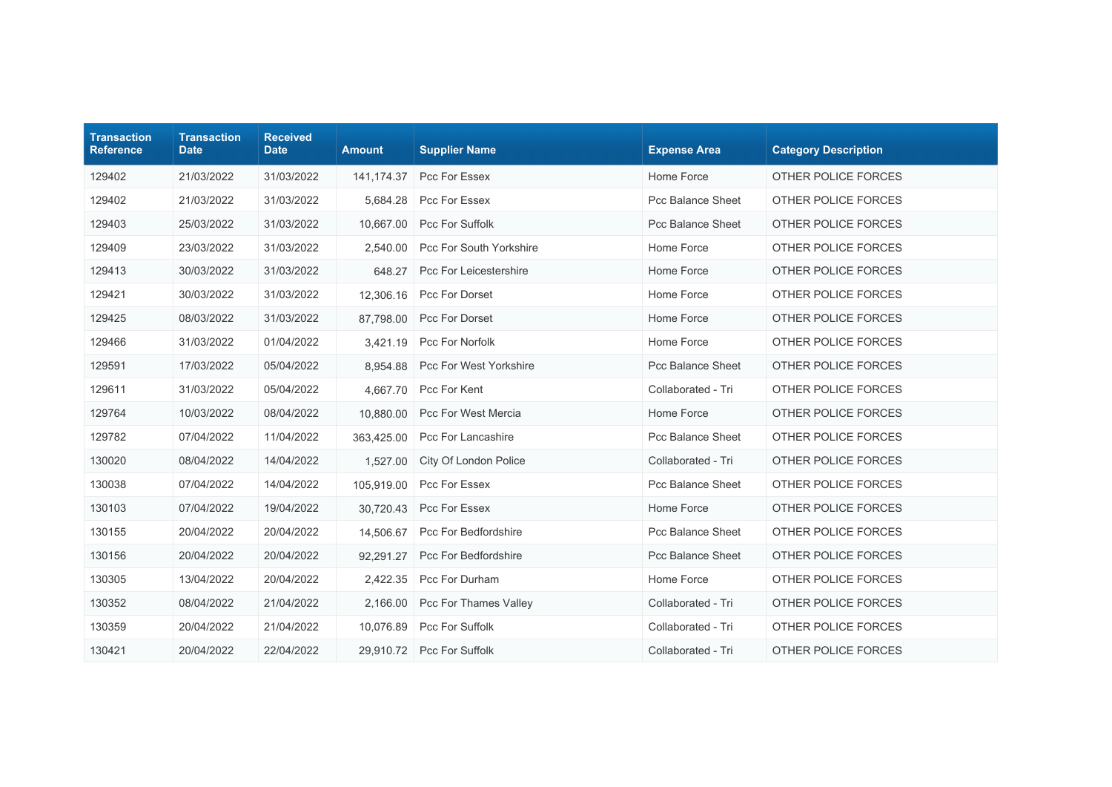| <b>Transaction</b><br><b>Reference</b> | <b>Transaction</b><br><b>Date</b> | <b>Received</b><br><b>Date</b> | <b>Amount</b> | <b>Supplier Name</b>           | <b>Expense Area</b> | <b>Category Description</b> |
|----------------------------------------|-----------------------------------|--------------------------------|---------------|--------------------------------|---------------------|-----------------------------|
| 129402                                 | 21/03/2022                        | 31/03/2022                     | 141, 174. 37  | Pcc For Essex                  | Home Force          | OTHER POLICE FORCES         |
| 129402                                 | 21/03/2022                        | 31/03/2022                     | 5,684.28      | Pcc For Essex                  | Pcc Balance Sheet   | OTHER POLICE FORCES         |
| 129403                                 | 25/03/2022                        | 31/03/2022                     | 10,667.00     | Pcc For Suffolk                | Pcc Balance Sheet   | OTHER POLICE FORCES         |
| 129409                                 | 23/03/2022                        | 31/03/2022                     | 2,540.00      | Pcc For South Yorkshire        | Home Force          | OTHER POLICE FORCES         |
| 129413                                 | 30/03/2022                        | 31/03/2022                     | 648.27        | <b>Pcc For Leicestershire</b>  | Home Force          | OTHER POLICE FORCES         |
| 129421                                 | 30/03/2022                        | 31/03/2022                     | 12,306.16     | Pcc For Dorset                 | Home Force          | OTHER POLICE FORCES         |
| 129425                                 | 08/03/2022                        | 31/03/2022                     | 87.798.00     | Pcc For Dorset                 | Home Force          | OTHER POLICE FORCES         |
| 129466                                 | 31/03/2022                        | 01/04/2022                     | 3,421.19      | Pcc For Norfolk                | Home Force          | OTHER POLICE FORCES         |
| 129591                                 | 17/03/2022                        | 05/04/2022                     | 8.954.88      | <b>Pcc For West Yorkshire</b>  | Pcc Balance Sheet   | OTHER POLICE FORCES         |
| 129611                                 | 31/03/2022                        | 05/04/2022                     |               | 4,667.70 Pcc For Kent          | Collaborated - Tri  | OTHER POLICE FORCES         |
| 129764                                 | 10/03/2022                        | 08/04/2022                     | 10,880.00     | Pcc For West Mercia            | Home Force          | OTHER POLICE FORCES         |
| 129782                                 | 07/04/2022                        | 11/04/2022                     | 363,425.00    | Pcc For Lancashire             | Pcc Balance Sheet   | OTHER POLICE FORCES         |
| 130020                                 | 08/04/2022                        | 14/04/2022                     | 1,527.00      | City Of London Police          | Collaborated - Tri  | OTHER POLICE FORCES         |
| 130038                                 | 07/04/2022                        | 14/04/2022                     | 105,919.00    | Pcc For Essex                  | Pcc Balance Sheet   | OTHER POLICE FORCES         |
| 130103                                 | 07/04/2022                        | 19/04/2022                     | 30,720.43     | Pcc For Essex                  | Home Force          | OTHER POLICE FORCES         |
| 130155                                 | 20/04/2022                        | 20/04/2022                     | 14.506.67     | Pcc For Bedfordshire           | Pcc Balance Sheet   | OTHER POLICE FORCES         |
| 130156                                 | 20/04/2022                        | 20/04/2022                     | 92,291.27     | <b>Pcc For Bedfordshire</b>    | Pcc Balance Sheet   | OTHER POLICE FORCES         |
| 130305                                 | 13/04/2022                        | 20/04/2022                     | 2,422.35      | Pcc For Durham                 | Home Force          | OTHER POLICE FORCES         |
| 130352                                 | 08/04/2022                        | 21/04/2022                     |               | 2,166.00 Pcc For Thames Valley | Collaborated - Tri  | OTHER POLICE FORCES         |
| 130359                                 | 20/04/2022                        | 21/04/2022                     | 10.076.89     | Pcc For Suffolk                | Collaborated - Tri  | OTHER POLICE FORCES         |
| 130421                                 | 20/04/2022                        | 22/04/2022                     |               | 29,910.72 Pcc For Suffolk      | Collaborated - Tri  | OTHER POLICE FORCES         |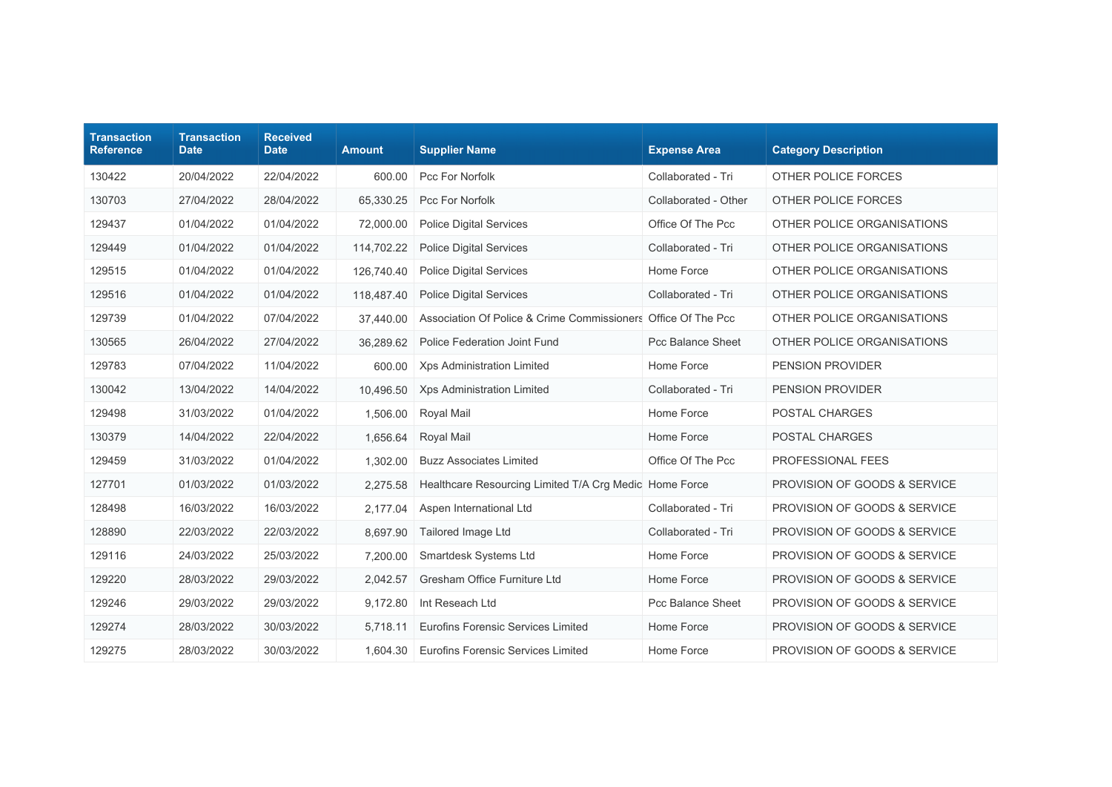| <b>Transaction</b><br><b>Reference</b> | <b>Transaction</b><br><b>Date</b> | <b>Received</b><br><b>Date</b> | <b>Amount</b> | <b>Supplier Name</b>                                          | <b>Expense Area</b>      | <b>Category Description</b>             |
|----------------------------------------|-----------------------------------|--------------------------------|---------------|---------------------------------------------------------------|--------------------------|-----------------------------------------|
| 130422                                 | 20/04/2022                        | 22/04/2022                     | 600.00        | Pcc For Norfolk                                               | Collaborated - Tri       | OTHER POLICE FORCES                     |
| 130703                                 | 27/04/2022                        | 28/04/2022                     | 65,330.25     | Pcc For Norfolk                                               | Collaborated - Other     | OTHER POLICE FORCES                     |
| 129437                                 | 01/04/2022                        | 01/04/2022                     | 72,000.00     | <b>Police Digital Services</b>                                | Office Of The Pcc        | OTHER POLICE ORGANISATIONS              |
| 129449                                 | 01/04/2022                        | 01/04/2022                     | 114,702.22    | <b>Police Digital Services</b>                                | Collaborated - Tri       | OTHER POLICE ORGANISATIONS              |
| 129515                                 | 01/04/2022                        | 01/04/2022                     | 126,740.40    | <b>Police Digital Services</b>                                | Home Force               | OTHER POLICE ORGANISATIONS              |
| 129516                                 | 01/04/2022                        | 01/04/2022                     | 118,487.40    | <b>Police Digital Services</b>                                | Collaborated - Tri       | OTHER POLICE ORGANISATIONS              |
| 129739                                 | 01/04/2022                        | 07/04/2022                     | 37,440.00     | Association Of Police & Crime Commissioners Office Of The Pcc |                          | OTHER POLICE ORGANISATIONS              |
| 130565                                 | 26/04/2022                        | 27/04/2022                     | 36,289.62     | Police Federation Joint Fund                                  | <b>Pcc Balance Sheet</b> | OTHER POLICE ORGANISATIONS              |
| 129783                                 | 07/04/2022                        | 11/04/2022                     | 600.00        | Xps Administration Limited                                    | Home Force               | <b>PENSION PROVIDER</b>                 |
| 130042                                 | 13/04/2022                        | 14/04/2022                     | 10,496.50     | <b>Xps Administration Limited</b>                             | Collaborated - Tri       | PENSION PROVIDER                        |
| 129498                                 | 31/03/2022                        | 01/04/2022                     | 1,506.00      | Royal Mail                                                    | Home Force               | POSTAL CHARGES                          |
| 130379                                 | 14/04/2022                        | 22/04/2022                     | 1,656.64      | Royal Mail                                                    | Home Force               | POSTAL CHARGES                          |
| 129459                                 | 31/03/2022                        | 01/04/2022                     | 1,302.00      | <b>Buzz Associates Limited</b>                                | Office Of The Pcc        | PROFESSIONAL FEES                       |
| 127701                                 | 01/03/2022                        | 01/03/2022                     | 2,275.58      | Healthcare Resourcing Limited T/A Crg Medic Home Force        |                          | <b>PROVISION OF GOODS &amp; SERVICE</b> |
| 128498                                 | 16/03/2022                        | 16/03/2022                     | 2,177.04      | Aspen International Ltd                                       | Collaborated - Tri       | PROVISION OF GOODS & SERVICE            |
| 128890                                 | 22/03/2022                        | 22/03/2022                     | 8,697.90      | Tailored Image Ltd                                            | Collaborated - Tri       | PROVISION OF GOODS & SERVICE            |
| 129116                                 | 24/03/2022                        | 25/03/2022                     | 7,200.00      | Smartdesk Systems Ltd                                         | Home Force               | PROVISION OF GOODS & SERVICE            |
| 129220                                 | 28/03/2022                        | 29/03/2022                     | 2,042.57      | Gresham Office Furniture Ltd                                  | Home Force               | PROVISION OF GOODS & SERVICE            |
| 129246                                 | 29/03/2022                        | 29/03/2022                     | 9,172.80      | Int Reseach Ltd                                               | Pcc Balance Sheet        | PROVISION OF GOODS & SERVICE            |
| 129274                                 | 28/03/2022                        | 30/03/2022                     | 5.718.11      | Eurofins Forensic Services Limited                            | Home Force               | PROVISION OF GOODS & SERVICE            |
| 129275                                 | 28/03/2022                        | 30/03/2022                     | 1,604.30      | <b>Eurofins Forensic Services Limited</b>                     | Home Force               | PROVISION OF GOODS & SERVICE            |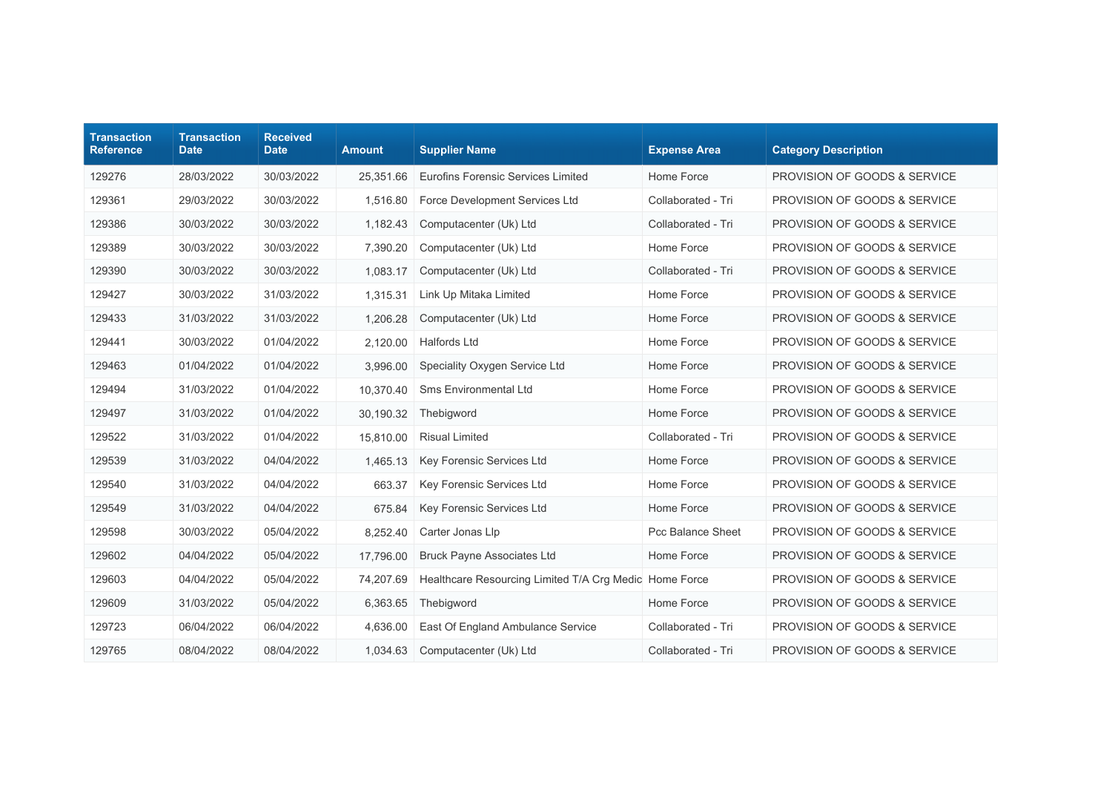| <b>Transaction</b><br><b>Reference</b> | <b>Transaction</b><br><b>Date</b> | <b>Received</b><br><b>Date</b> | <b>Amount</b> | <b>Supplier Name</b>                                   | <b>Expense Area</b> | <b>Category Description</b>             |
|----------------------------------------|-----------------------------------|--------------------------------|---------------|--------------------------------------------------------|---------------------|-----------------------------------------|
| 129276                                 | 28/03/2022                        | 30/03/2022                     | 25,351.66     | Eurofins Forensic Services Limited                     | Home Force          | PROVISION OF GOODS & SERVICE            |
| 129361                                 | 29/03/2022                        | 30/03/2022                     | 1.516.80      | Force Development Services Ltd                         | Collaborated - Tri  | <b>PROVISION OF GOODS &amp; SERVICE</b> |
| 129386                                 | 30/03/2022                        | 30/03/2022                     | 1,182.43      | Computacenter (Uk) Ltd                                 | Collaborated - Tri  | PROVISION OF GOODS & SERVICE            |
| 129389                                 | 30/03/2022                        | 30/03/2022                     | 7,390.20      | Computacenter (Uk) Ltd                                 | Home Force          | PROVISION OF GOODS & SERVICE            |
| 129390                                 | 30/03/2022                        | 30/03/2022                     | 1,083.17      | Computacenter (Uk) Ltd                                 | Collaborated - Tri  | PROVISION OF GOODS & SERVICE            |
| 129427                                 | 30/03/2022                        | 31/03/2022                     | 1,315.31      | Link Up Mitaka Limited                                 | Home Force          | PROVISION OF GOODS & SERVICE            |
| 129433                                 | 31/03/2022                        | 31/03/2022                     | 1,206.28      | Computacenter (Uk) Ltd                                 | Home Force          | PROVISION OF GOODS & SERVICE            |
| 129441                                 | 30/03/2022                        | 01/04/2022                     | 2,120.00      | <b>Halfords Ltd</b>                                    | Home Force          | PROVISION OF GOODS & SERVICE            |
| 129463                                 | 01/04/2022                        | 01/04/2022                     | 3,996.00      | Speciality Oxygen Service Ltd                          | Home Force          | PROVISION OF GOODS & SERVICE            |
| 129494                                 | 31/03/2022                        | 01/04/2022                     | 10,370.40     | <b>Sms Environmental Ltd</b>                           | Home Force          | PROVISION OF GOODS & SERVICE            |
| 129497                                 | 31/03/2022                        | 01/04/2022                     | 30,190.32     | Thebigword                                             | Home Force          | PROVISION OF GOODS & SERVICE            |
| 129522                                 | 31/03/2022                        | 01/04/2022                     | 15,810.00     | <b>Risual Limited</b>                                  | Collaborated - Tri  | PROVISION OF GOODS & SERVICE            |
| 129539                                 | 31/03/2022                        | 04/04/2022                     | 1,465.13      | Key Forensic Services Ltd                              | Home Force          | PROVISION OF GOODS & SERVICE            |
| 129540                                 | 31/03/2022                        | 04/04/2022                     | 663.37        | Key Forensic Services Ltd                              | Home Force          | PROVISION OF GOODS & SERVICE            |
| 129549                                 | 31/03/2022                        | 04/04/2022                     | 675.84        | Key Forensic Services Ltd                              | Home Force          | PROVISION OF GOODS & SERVICE            |
| 129598                                 | 30/03/2022                        | 05/04/2022                     | 8,252.40      | Carter Jonas Llp                                       | Pcc Balance Sheet   | PROVISION OF GOODS & SERVICE            |
| 129602                                 | 04/04/2022                        | 05/04/2022                     | 17,796.00     | <b>Bruck Payne Associates Ltd</b>                      | Home Force          | PROVISION OF GOODS & SERVICE            |
| 129603                                 | 04/04/2022                        | 05/04/2022                     | 74,207.69     | Healthcare Resourcing Limited T/A Crg Medic Home Force |                     | PROVISION OF GOODS & SERVICE            |
| 129609                                 | 31/03/2022                        | 05/04/2022                     | 6,363.65      | Thebigword                                             | Home Force          | PROVISION OF GOODS & SERVICE            |
| 129723                                 | 06/04/2022                        | 06/04/2022                     | 4,636.00      | East Of England Ambulance Service                      | Collaborated - Tri  | PROVISION OF GOODS & SERVICE            |
| 129765                                 | 08/04/2022                        | 08/04/2022                     | 1,034.63      | Computacenter (Uk) Ltd                                 | Collaborated - Tri  | PROVISION OF GOODS & SERVICE            |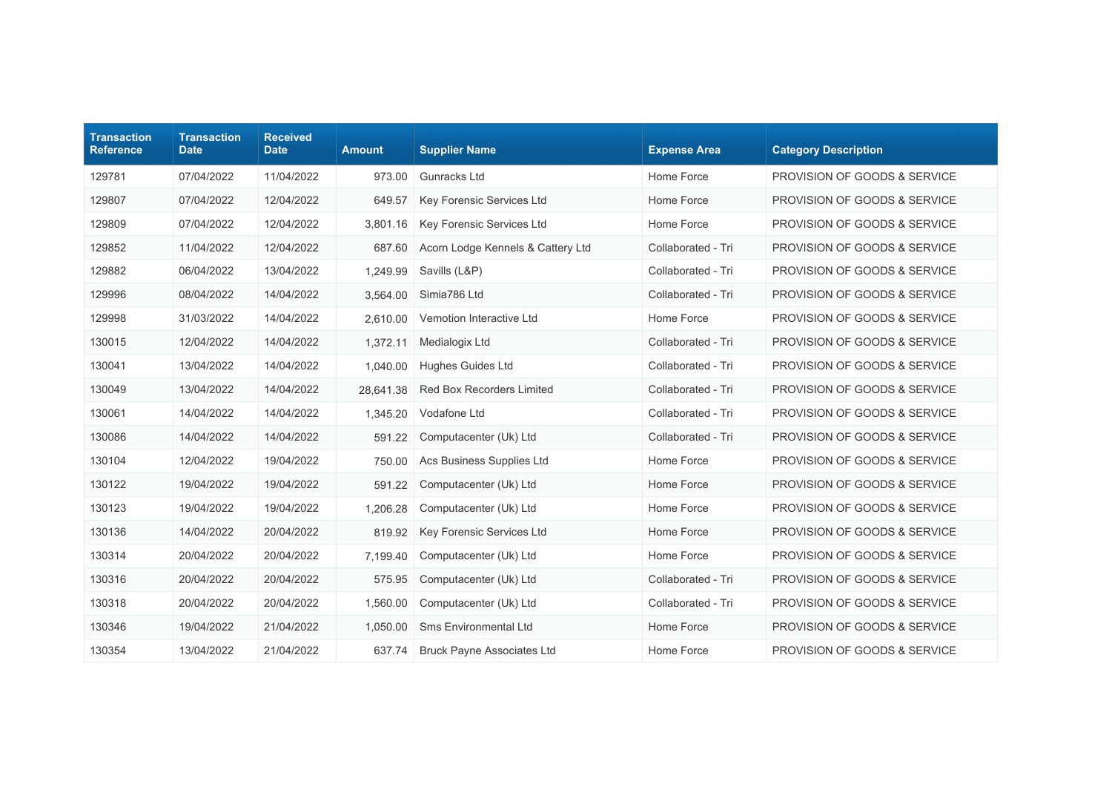| <b>Transaction</b><br><b>Reference</b> | <b>Transaction</b><br><b>Date</b> | <b>Received</b><br><b>Date</b> | <b>Amount</b> | <b>Supplier Name</b>              | <b>Expense Area</b> | <b>Category Description</b>             |
|----------------------------------------|-----------------------------------|--------------------------------|---------------|-----------------------------------|---------------------|-----------------------------------------|
| 129781                                 | 07/04/2022                        | 11/04/2022                     | 973.00        | Gunracks Ltd                      | Home Force          | PROVISION OF GOODS & SERVICE            |
| 129807                                 | 07/04/2022                        | 12/04/2022                     | 649.57        | Key Forensic Services Ltd         | Home Force          | <b>PROVISION OF GOODS &amp; SERVICE</b> |
| 129809                                 | 07/04/2022                        | 12/04/2022                     | 3,801.16      | Key Forensic Services Ltd         | Home Force          | PROVISION OF GOODS & SERVICE            |
| 129852                                 | 11/04/2022                        | 12/04/2022                     | 687.60        | Acorn Lodge Kennels & Cattery Ltd | Collaborated - Tri  | PROVISION OF GOODS & SERVICE            |
| 129882                                 | 06/04/2022                        | 13/04/2022                     | 1,249.99      | Savills (L&P)                     | Collaborated - Tri  | PROVISION OF GOODS & SERVICE            |
| 129996                                 | 08/04/2022                        | 14/04/2022                     | 3,564.00      | Simia786 Ltd                      | Collaborated - Tri  | <b>PROVISION OF GOODS &amp; SERVICE</b> |
| 129998                                 | 31/03/2022                        | 14/04/2022                     | 2,610.00      | Vemotion Interactive Ltd          | Home Force          | <b>PROVISION OF GOODS &amp; SERVICE</b> |
| 130015                                 | 12/04/2022                        | 14/04/2022                     | 1,372.11      | Medialogix Ltd                    | Collaborated - Tri  | PROVISION OF GOODS & SERVICE            |
| 130041                                 | 13/04/2022                        | 14/04/2022                     | 1,040.00      | Hughes Guides Ltd                 | Collaborated - Tri  | PROVISION OF GOODS & SERVICE            |
| 130049                                 | 13/04/2022                        | 14/04/2022                     | 28,641.38     | <b>Red Box Recorders Limited</b>  | Collaborated - Tri  | PROVISION OF GOODS & SERVICE            |
| 130061                                 | 14/04/2022                        | 14/04/2022                     | 1,345.20      | Vodafone Ltd                      | Collaborated - Tri  | PROVISION OF GOODS & SERVICE            |
| 130086                                 | 14/04/2022                        | 14/04/2022                     | 591.22        | Computacenter (Uk) Ltd            | Collaborated - Tri  | PROVISION OF GOODS & SERVICE            |
| 130104                                 | 12/04/2022                        | 19/04/2022                     | 750.00        | Acs Business Supplies Ltd         | Home Force          | PROVISION OF GOODS & SERVICE            |
| 130122                                 | 19/04/2022                        | 19/04/2022                     | 591.22        | Computacenter (Uk) Ltd            | Home Force          | PROVISION OF GOODS & SERVICE            |
| 130123                                 | 19/04/2022                        | 19/04/2022                     | 1,206.28      | Computacenter (Uk) Ltd            | Home Force          | PROVISION OF GOODS & SERVICE            |
| 130136                                 | 14/04/2022                        | 20/04/2022                     | 819.92        | Key Forensic Services Ltd         | Home Force          | PROVISION OF GOODS & SERVICE            |
| 130314                                 | 20/04/2022                        | 20/04/2022                     | 7,199.40      | Computacenter (Uk) Ltd            | Home Force          | PROVISION OF GOODS & SERVICE            |
| 130316                                 | 20/04/2022                        | 20/04/2022                     | 575.95        | Computacenter (Uk) Ltd            | Collaborated - Tri  | PROVISION OF GOODS & SERVICE            |
| 130318                                 | 20/04/2022                        | 20/04/2022                     | 1,560.00      | Computacenter (Uk) Ltd            | Collaborated - Tri  | PROVISION OF GOODS & SERVICE            |
| 130346                                 | 19/04/2022                        | 21/04/2022                     | 1,050.00      | Sms Environmental Ltd             | Home Force          | PROVISION OF GOODS & SERVICE            |
| 130354                                 | 13/04/2022                        | 21/04/2022                     | 637.74        | <b>Bruck Payne Associates Ltd</b> | Home Force          | PROVISION OF GOODS & SERVICE            |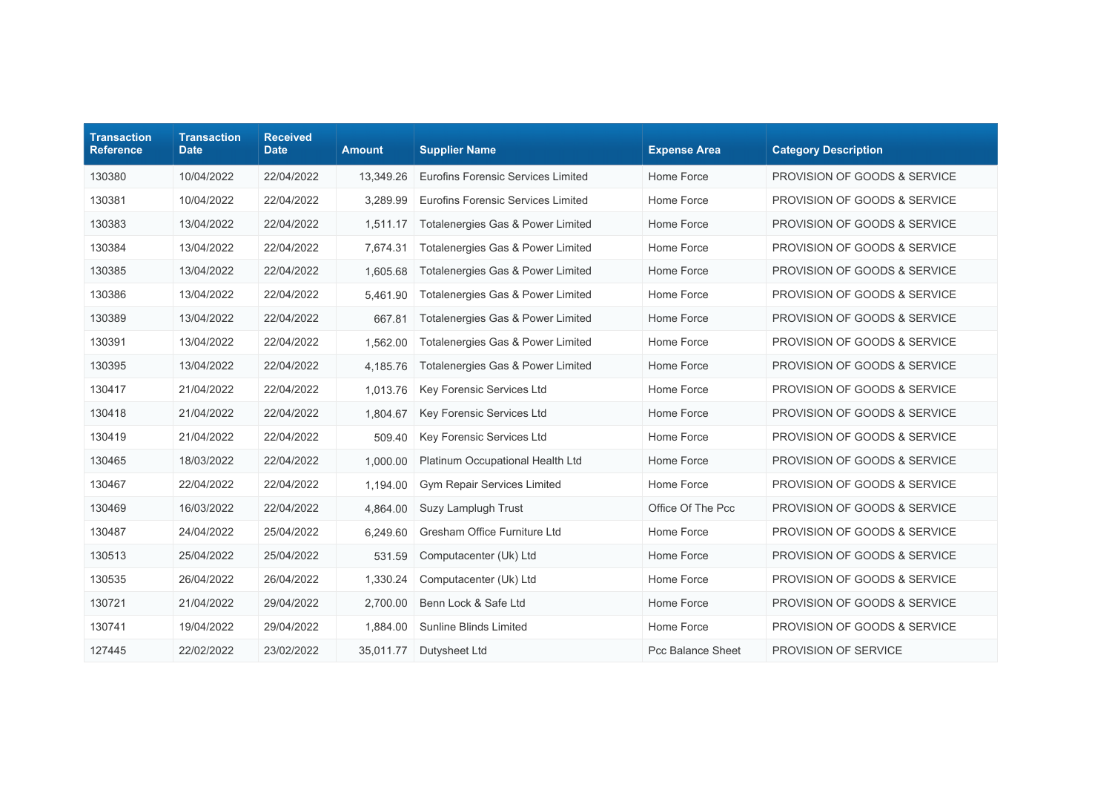| <b>Transaction</b><br><b>Reference</b> | <b>Transaction</b><br><b>Date</b> | <b>Received</b><br><b>Date</b> | <b>Amount</b> | <b>Supplier Name</b>                      | <b>Expense Area</b>      | <b>Category Description</b>             |
|----------------------------------------|-----------------------------------|--------------------------------|---------------|-------------------------------------------|--------------------------|-----------------------------------------|
| 130380                                 | 10/04/2022                        | 22/04/2022                     | 13,349.26     | Eurofins Forensic Services Limited        | Home Force               | PROVISION OF GOODS & SERVICE            |
| 130381                                 | 10/04/2022                        | 22/04/2022                     | 3.289.99      | <b>Eurofins Forensic Services Limited</b> | Home Force               | <b>PROVISION OF GOODS &amp; SERVICE</b> |
| 130383                                 | 13/04/2022                        | 22/04/2022                     | 1,511.17      | Totalenergies Gas & Power Limited         | Home Force               | PROVISION OF GOODS & SERVICE            |
| 130384                                 | 13/04/2022                        | 22/04/2022                     | 7,674.31      | Totalenergies Gas & Power Limited         | Home Force               | PROVISION OF GOODS & SERVICE            |
| 130385                                 | 13/04/2022                        | 22/04/2022                     | 1,605.68      | Totalenergies Gas & Power Limited         | Home Force               | <b>PROVISION OF GOODS &amp; SERVICE</b> |
| 130386                                 | 13/04/2022                        | 22/04/2022                     | 5,461.90      | Totalenergies Gas & Power Limited         | Home Force               | PROVISION OF GOODS & SERVICE            |
| 130389                                 | 13/04/2022                        | 22/04/2022                     | 667.81        | Totalenergies Gas & Power Limited         | Home Force               | <b>PROVISION OF GOODS &amp; SERVICE</b> |
| 130391                                 | 13/04/2022                        | 22/04/2022                     | 1,562.00      | Totalenergies Gas & Power Limited         | Home Force               | PROVISION OF GOODS & SERVICE            |
| 130395                                 | 13/04/2022                        | 22/04/2022                     | 4,185.76      | Totalenergies Gas & Power Limited         | Home Force               | PROVISION OF GOODS & SERVICE            |
| 130417                                 | 21/04/2022                        | 22/04/2022                     | 1,013.76      | <b>Key Forensic Services Ltd</b>          | Home Force               | PROVISION OF GOODS & SERVICE            |
| 130418                                 | 21/04/2022                        | 22/04/2022                     | 1,804.67      | Key Forensic Services Ltd                 | Home Force               | PROVISION OF GOODS & SERVICE            |
| 130419                                 | 21/04/2022                        | 22/04/2022                     | 509.40        | Key Forensic Services Ltd                 | Home Force               | PROVISION OF GOODS & SERVICE            |
| 130465                                 | 18/03/2022                        | 22/04/2022                     | 1,000.00      | Platinum Occupational Health Ltd          | Home Force               | PROVISION OF GOODS & SERVICE            |
| 130467                                 | 22/04/2022                        | 22/04/2022                     | 1,194.00      | <b>Gym Repair Services Limited</b>        | Home Force               | PROVISION OF GOODS & SERVICE            |
| 130469                                 | 16/03/2022                        | 22/04/2022                     | 4,864.00      | Suzy Lamplugh Trust                       | Office Of The Pcc        | PROVISION OF GOODS & SERVICE            |
| 130487                                 | 24/04/2022                        | 25/04/2022                     | 6,249.60      | Gresham Office Furniture Ltd              | Home Force               | PROVISION OF GOODS & SERVICE            |
| 130513                                 | 25/04/2022                        | 25/04/2022                     | 531.59        | Computacenter (Uk) Ltd                    | Home Force               | PROVISION OF GOODS & SERVICE            |
| 130535                                 | 26/04/2022                        | 26/04/2022                     | 1,330.24      | Computacenter (Uk) Ltd                    | Home Force               | PROVISION OF GOODS & SERVICE            |
| 130721                                 | 21/04/2022                        | 29/04/2022                     | 2,700.00      | Benn Lock & Safe Ltd                      | Home Force               | PROVISION OF GOODS & SERVICE            |
| 130741                                 | 19/04/2022                        | 29/04/2022                     | 1,884.00      | Sunline Blinds Limited                    | Home Force               | PROVISION OF GOODS & SERVICE            |
| 127445                                 | 22/02/2022                        | 23/02/2022                     | 35,011.77     | Dutysheet Ltd                             | <b>Pcc Balance Sheet</b> | PROVISION OF SERVICE                    |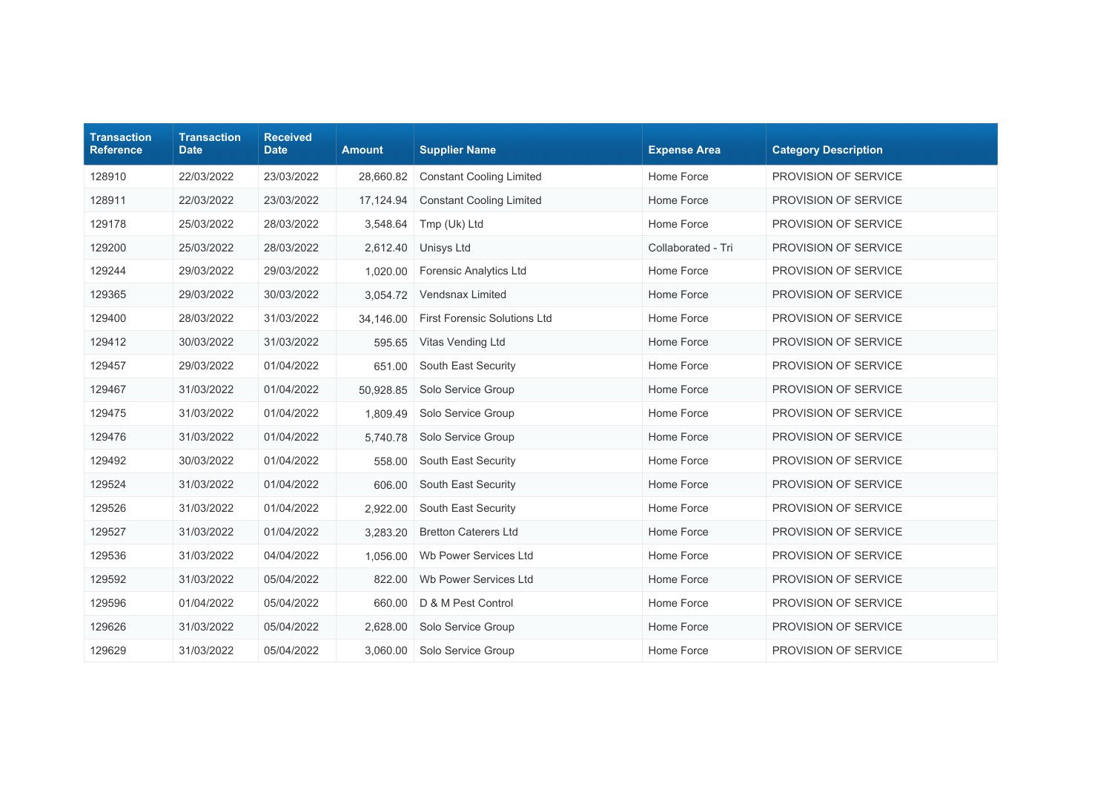| <b>Transaction</b><br><b>Reference</b> | <b>Transaction</b><br><b>Date</b> | <b>Received</b><br><b>Date</b> | <b>Amount</b> | <b>Supplier Name</b>                | <b>Expense Area</b> | <b>Category Description</b> |
|----------------------------------------|-----------------------------------|--------------------------------|---------------|-------------------------------------|---------------------|-----------------------------|
| 128910                                 | 22/03/2022                        | 23/03/2022                     | 28,660.82     | <b>Constant Cooling Limited</b>     | Home Force          | PROVISION OF SERVICE        |
| 128911                                 | 22/03/2022                        | 23/03/2022                     | 17,124.94     | <b>Constant Cooling Limited</b>     | Home Force          | PROVISION OF SERVICE        |
| 129178                                 | 25/03/2022                        | 28/03/2022                     | 3,548.64      | Tmp (Uk) Ltd                        | Home Force          | PROVISION OF SERVICE        |
| 129200                                 | 25/03/2022                        | 28/03/2022                     | 2,612.40      | Unisys Ltd                          | Collaborated - Tri  | PROVISION OF SERVICE        |
| 129244                                 | 29/03/2022                        | 29/03/2022                     | 1.020.00      | <b>Forensic Analytics Ltd</b>       | Home Force          | PROVISION OF SERVICE        |
| 129365                                 | 29/03/2022                        | 30/03/2022                     | 3,054.72      | Vendsnax Limited                    | Home Force          | PROVISION OF SERVICE        |
| 129400                                 | 28/03/2022                        | 31/03/2022                     | 34,146.00     | <b>First Forensic Solutions Ltd</b> | Home Force          | PROVISION OF SERVICE        |
| 129412                                 | 30/03/2022                        | 31/03/2022                     | 595.65        | Vitas Vending Ltd                   | Home Force          | PROVISION OF SERVICE        |
| 129457                                 | 29/03/2022                        | 01/04/2022                     | 651.00        | South East Security                 | Home Force          | PROVISION OF SERVICE        |
| 129467                                 | 31/03/2022                        | 01/04/2022                     | 50,928.85     | Solo Service Group                  | Home Force          | PROVISION OF SERVICE        |
| 129475                                 | 31/03/2022                        | 01/04/2022                     | 1,809.49      | Solo Service Group                  | Home Force          | PROVISION OF SERVICE        |
| 129476                                 | 31/03/2022                        | 01/04/2022                     | 5,740.78      | Solo Service Group                  | Home Force          | PROVISION OF SERVICE        |
| 129492                                 | 30/03/2022                        | 01/04/2022                     | 558.00        | South East Security                 | Home Force          | PROVISION OF SERVICE        |
| 129524                                 | 31/03/2022                        | 01/04/2022                     | 606.00        | South East Security                 | Home Force          | <b>PROVISION OF SERVICE</b> |
| 129526                                 | 31/03/2022                        | 01/04/2022                     | 2,922.00      | South East Security                 | Home Force          | PROVISION OF SERVICE        |
| 129527                                 | 31/03/2022                        | 01/04/2022                     | 3,283.20      | <b>Bretton Caterers Ltd</b>         | Home Force          | PROVISION OF SERVICE        |
| 129536                                 | 31/03/2022                        | 04/04/2022                     | 1,056.00      | Wb Power Services Ltd               | Home Force          | PROVISION OF SERVICE        |
| 129592                                 | 31/03/2022                        | 05/04/2022                     | 822.00        | Wb Power Services Ltd               | Home Force          | PROVISION OF SERVICE        |
| 129596                                 | 01/04/2022                        | 05/04/2022                     | 660.00        | D & M Pest Control                  | Home Force          | PROVISION OF SERVICE        |
| 129626                                 | 31/03/2022                        | 05/04/2022                     | 2,628.00      | Solo Service Group                  | Home Force          | PROVISION OF SERVICE        |
| 129629                                 | 31/03/2022                        | 05/04/2022                     | 3,060.00      | Solo Service Group                  | Home Force          | PROVISION OF SERVICE        |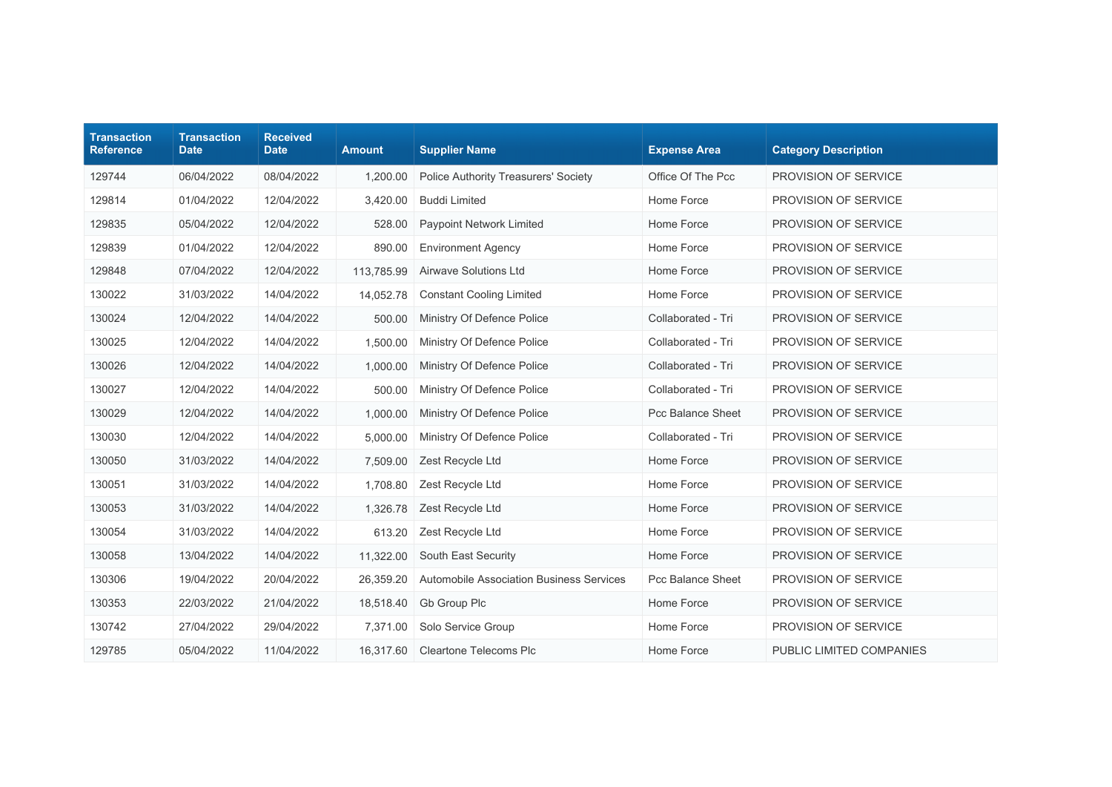| <b>Transaction</b><br><b>Reference</b> | <b>Transaction</b><br><b>Date</b> | <b>Received</b><br><b>Date</b> | <b>Amount</b> | <b>Supplier Name</b>                     | <b>Expense Area</b> | <b>Category Description</b> |
|----------------------------------------|-----------------------------------|--------------------------------|---------------|------------------------------------------|---------------------|-----------------------------|
| 129744                                 | 06/04/2022                        | 08/04/2022                     | 1,200.00      | Police Authority Treasurers' Society     | Office Of The Pcc   | PROVISION OF SERVICE        |
| 129814                                 | 01/04/2022                        | 12/04/2022                     | 3,420.00      | <b>Buddi Limited</b>                     | Home Force          | PROVISION OF SERVICE        |
| 129835                                 | 05/04/2022                        | 12/04/2022                     | 528.00        | <b>Paypoint Network Limited</b>          | Home Force          | PROVISION OF SERVICE        |
| 129839                                 | 01/04/2022                        | 12/04/2022                     | 890.00        | <b>Environment Agency</b>                | Home Force          | PROVISION OF SERVICE        |
| 129848                                 | 07/04/2022                        | 12/04/2022                     | 113,785.99    | Airwave Solutions Ltd                    | Home Force          | PROVISION OF SERVICE        |
| 130022                                 | 31/03/2022                        | 14/04/2022                     | 14,052.78     | <b>Constant Cooling Limited</b>          | Home Force          | PROVISION OF SERVICE        |
| 130024                                 | 12/04/2022                        | 14/04/2022                     | 500.00        | Ministry Of Defence Police               | Collaborated - Tri  | PROVISION OF SERVICE        |
| 130025                                 | 12/04/2022                        | 14/04/2022                     | 1,500.00      | Ministry Of Defence Police               | Collaborated - Tri  | PROVISION OF SERVICE        |
| 130026                                 | 12/04/2022                        | 14/04/2022                     | 1,000.00      | Ministry Of Defence Police               | Collaborated - Tri  | PROVISION OF SERVICE        |
| 130027                                 | 12/04/2022                        | 14/04/2022                     | 500.00        | Ministry Of Defence Police               | Collaborated - Tri  | PROVISION OF SERVICE        |
| 130029                                 | 12/04/2022                        | 14/04/2022                     | 1,000.00      | Ministry Of Defence Police               | Pcc Balance Sheet   | PROVISION OF SERVICE        |
| 130030                                 | 12/04/2022                        | 14/04/2022                     | 5,000.00      | Ministry Of Defence Police               | Collaborated - Tri  | PROVISION OF SERVICE        |
| 130050                                 | 31/03/2022                        | 14/04/2022                     | 7,509.00      | Zest Recycle Ltd                         | Home Force          | PROVISION OF SERVICE        |
| 130051                                 | 31/03/2022                        | 14/04/2022                     | 1,708.80      | Zest Recycle Ltd                         | Home Force          | PROVISION OF SERVICE        |
| 130053                                 | 31/03/2022                        | 14/04/2022                     | 1,326.78      | Zest Recycle Ltd                         | Home Force          | PROVISION OF SERVICE        |
| 130054                                 | 31/03/2022                        | 14/04/2022                     | 613.20        | Zest Recycle Ltd                         | Home Force          | PROVISION OF SERVICE        |
| 130058                                 | 13/04/2022                        | 14/04/2022                     | 11,322.00     | South East Security                      | Home Force          | PROVISION OF SERVICE        |
| 130306                                 | 19/04/2022                        | 20/04/2022                     | 26,359.20     | Automobile Association Business Services | Pcc Balance Sheet   | PROVISION OF SERVICE        |
| 130353                                 | 22/03/2022                        | 21/04/2022                     | 18,518.40     | Gb Group Plc                             | Home Force          | PROVISION OF SERVICE        |
| 130742                                 | 27/04/2022                        | 29/04/2022                     | 7.371.00      | Solo Service Group                       | Home Force          | PROVISION OF SERVICE        |
| 129785                                 | 05/04/2022                        | 11/04/2022                     | 16,317.60     | <b>Cleartone Telecoms Plc</b>            | Home Force          | PUBLIC LIMITED COMPANIES    |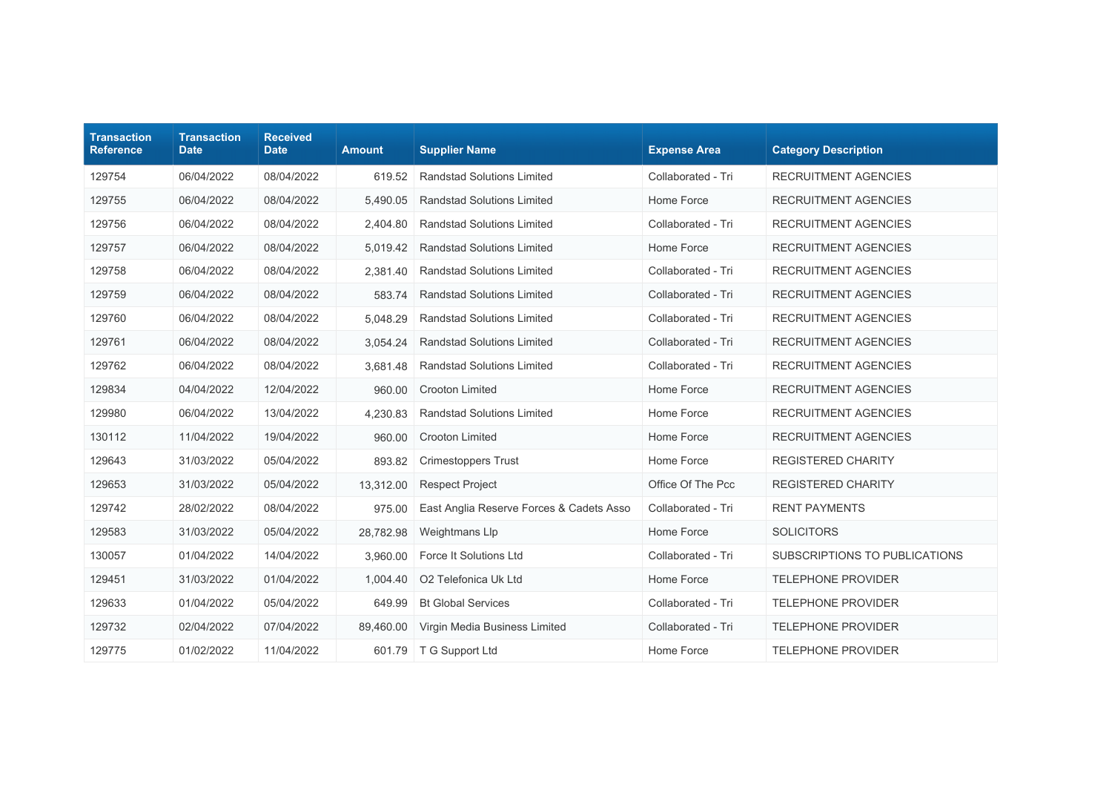| <b>Transaction</b><br><b>Reference</b> | <b>Transaction</b><br><b>Date</b> | <b>Received</b><br><b>Date</b> | <b>Amount</b> | <b>Supplier Name</b>                     | <b>Expense Area</b> | <b>Category Description</b>   |
|----------------------------------------|-----------------------------------|--------------------------------|---------------|------------------------------------------|---------------------|-------------------------------|
| 129754                                 | 06/04/2022                        | 08/04/2022                     | 619.52        | <b>Randstad Solutions Limited</b>        | Collaborated - Tri  | <b>RECRUITMENT AGENCIES</b>   |
| 129755                                 | 06/04/2022                        | 08/04/2022                     | 5,490.05      | <b>Randstad Solutions Limited</b>        | Home Force          | <b>RECRUITMENT AGENCIES</b>   |
| 129756                                 | 06/04/2022                        | 08/04/2022                     | 2,404.80      | <b>Randstad Solutions Limited</b>        | Collaborated - Tri  | <b>RECRUITMENT AGENCIES</b>   |
| 129757                                 | 06/04/2022                        | 08/04/2022                     | 5,019.42      | <b>Randstad Solutions Limited</b>        | Home Force          | <b>RECRUITMENT AGENCIES</b>   |
| 129758                                 | 06/04/2022                        | 08/04/2022                     | 2.381.40      | <b>Randstad Solutions Limited</b>        | Collaborated - Tri  | <b>RECRUITMENT AGENCIES</b>   |
| 129759                                 | 06/04/2022                        | 08/04/2022                     | 583.74        | <b>Randstad Solutions Limited</b>        | Collaborated - Tri  | <b>RECRUITMENT AGENCIES</b>   |
| 129760                                 | 06/04/2022                        | 08/04/2022                     | 5,048.29      | <b>Randstad Solutions Limited</b>        | Collaborated - Tri  | <b>RECRUITMENT AGENCIES</b>   |
| 129761                                 | 06/04/2022                        | 08/04/2022                     | 3,054.24      | <b>Randstad Solutions Limited</b>        | Collaborated - Tri  | <b>RECRUITMENT AGENCIES</b>   |
| 129762                                 | 06/04/2022                        | 08/04/2022                     | 3.681.48      | <b>Randstad Solutions Limited</b>        | Collaborated - Tri  | <b>RECRUITMENT AGENCIES</b>   |
| 129834                                 | 04/04/2022                        | 12/04/2022                     | 960.00        | <b>Crooton Limited</b>                   | Home Force          | <b>RECRUITMENT AGENCIES</b>   |
| 129980                                 | 06/04/2022                        | 13/04/2022                     | 4,230.83      | <b>Randstad Solutions Limited</b>        | Home Force          | <b>RECRUITMENT AGENCIES</b>   |
| 130112                                 | 11/04/2022                        | 19/04/2022                     | 960.00        | Crooton Limited                          | Home Force          | <b>RECRUITMENT AGENCIES</b>   |
| 129643                                 | 31/03/2022                        | 05/04/2022                     | 893.82        | <b>Crimestoppers Trust</b>               | Home Force          | REGISTERED CHARITY            |
| 129653                                 | 31/03/2022                        | 05/04/2022                     | 13,312.00     | <b>Respect Project</b>                   | Office Of The Pcc   | <b>REGISTERED CHARITY</b>     |
| 129742                                 | 28/02/2022                        | 08/04/2022                     | 975.00        | East Anglia Reserve Forces & Cadets Asso | Collaborated - Tri  | <b>RENT PAYMENTS</b>          |
| 129583                                 | 31/03/2022                        | 05/04/2022                     | 28,782.98     | Weightmans Llp                           | Home Force          | <b>SOLICITORS</b>             |
| 130057                                 | 01/04/2022                        | 14/04/2022                     | 3,960.00      | Force It Solutions Ltd                   | Collaborated - Tri  | SUBSCRIPTIONS TO PUBLICATIONS |
| 129451                                 | 31/03/2022                        | 01/04/2022                     | 1,004.40      | O2 Telefonica Uk Ltd                     | Home Force          | <b>TELEPHONE PROVIDER</b>     |
| 129633                                 | 01/04/2022                        | 05/04/2022                     | 649.99        | <b>Bt Global Services</b>                | Collaborated - Tri  | <b>TELEPHONE PROVIDER</b>     |
| 129732                                 | 02/04/2022                        | 07/04/2022                     | 89.460.00     | Virgin Media Business Limited            | Collaborated - Tri  | <b>TELEPHONE PROVIDER</b>     |
| 129775                                 | 01/02/2022                        | 11/04/2022                     | 601.79        | T G Support Ltd                          | Home Force          | <b>TELEPHONE PROVIDER</b>     |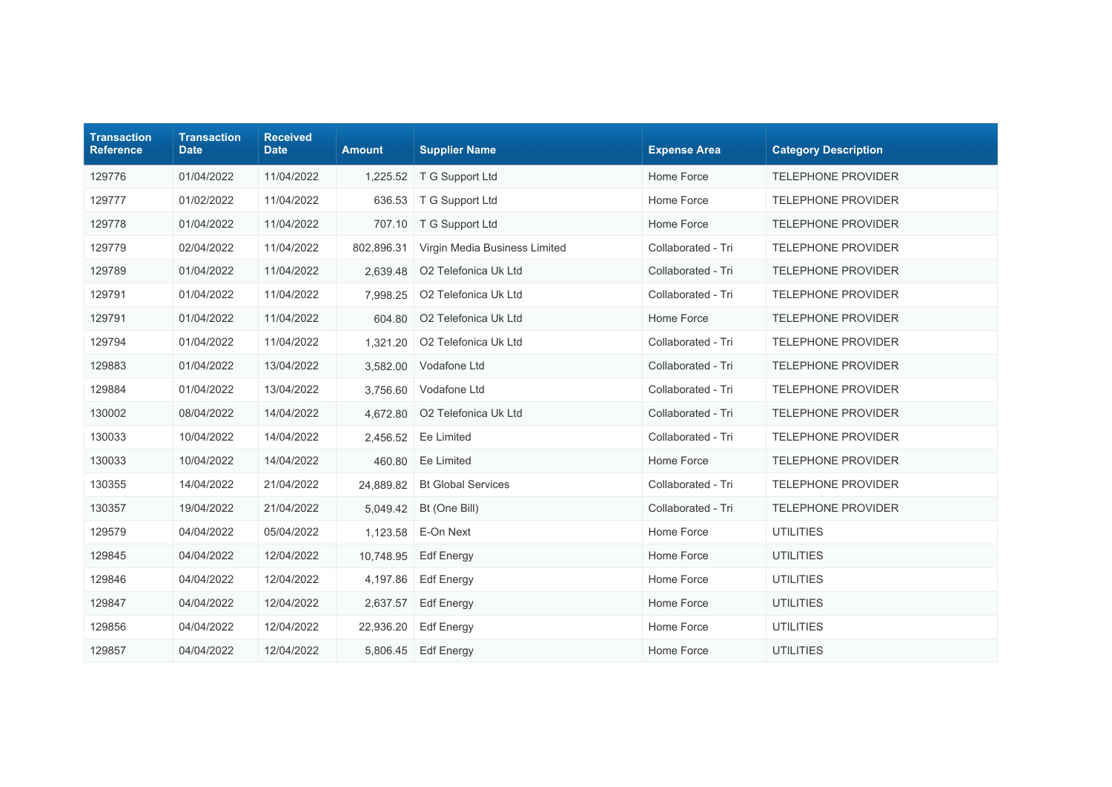| <b>Transaction</b><br><b>Reference</b> | <b>Transaction</b><br><b>Date</b> | <b>Received</b><br><b>Date</b> | <b>Amount</b> | <b>Supplier Name</b>          | <b>Expense Area</b> | <b>Category Description</b> |
|----------------------------------------|-----------------------------------|--------------------------------|---------------|-------------------------------|---------------------|-----------------------------|
| 129776                                 | 01/04/2022                        | 11/04/2022                     |               | 1,225.52   T G Support Ltd    | Home Force          | <b>TELEPHONE PROVIDER</b>   |
| 129777                                 | 01/02/2022                        | 11/04/2022                     | 636.53        | T G Support Ltd               | Home Force          | TELEPHONE PROVIDER          |
| 129778                                 | 01/04/2022                        | 11/04/2022                     | 707.10        | T G Support Ltd               | Home Force          | <b>TELEPHONE PROVIDER</b>   |
| 129779                                 | 02/04/2022                        | 11/04/2022                     | 802,896.31    | Virgin Media Business Limited | Collaborated - Tri  | <b>TELEPHONE PROVIDER</b>   |
| 129789                                 | 01/04/2022                        | 11/04/2022                     | 2.639.48      | O2 Telefonica Uk Ltd          | Collaborated - Tri  | <b>TELEPHONE PROVIDER</b>   |
| 129791                                 | 01/04/2022                        | 11/04/2022                     | 7,998.25      | O2 Telefonica Uk Ltd          | Collaborated - Tri  | <b>TELEPHONE PROVIDER</b>   |
| 129791                                 | 01/04/2022                        | 11/04/2022                     | 604.80        | O2 Telefonica Uk Ltd          | Home Force          | <b>TELEPHONE PROVIDER</b>   |
| 129794                                 | 01/04/2022                        | 11/04/2022                     | 1,321.20      | O2 Telefonica Uk Ltd          | Collaborated - Tri  | TELEPHONE PROVIDER          |
| 129883                                 | 01/04/2022                        | 13/04/2022                     | 3,582.00      | Vodafone Ltd                  | Collaborated - Tri  | <b>TELEPHONE PROVIDER</b>   |
| 129884                                 | 01/04/2022                        | 13/04/2022                     | 3,756.60      | Vodafone Ltd                  | Collaborated - Tri  | <b>TELEPHONE PROVIDER</b>   |
| 130002                                 | 08/04/2022                        | 14/04/2022                     | 4,672.80      | O2 Telefonica Uk Ltd          | Collaborated - Tri  | <b>TELEPHONE PROVIDER</b>   |
| 130033                                 | 10/04/2022                        | 14/04/2022                     | 2,456.52      | Ee Limited                    | Collaborated - Tri  | <b>TELEPHONE PROVIDER</b>   |
| 130033                                 | 10/04/2022                        | 14/04/2022                     | 460.80        | Ee Limited                    | Home Force          | <b>TELEPHONE PROVIDER</b>   |
| 130355                                 | 14/04/2022                        | 21/04/2022                     | 24,889.82     | <b>Bt Global Services</b>     | Collaborated - Tri  | <b>TELEPHONE PROVIDER</b>   |
| 130357                                 | 19/04/2022                        | 21/04/2022                     | 5,049.42      | Bt (One Bill)                 | Collaborated - Tri  | <b>TELEPHONE PROVIDER</b>   |
| 129579                                 | 04/04/2022                        | 05/04/2022                     | 1,123.58      | E-On Next                     | Home Force          | <b>UTILITIES</b>            |
| 129845                                 | 04/04/2022                        | 12/04/2022                     | 10,748.95     | <b>Edf Energy</b>             | Home Force          | <b>UTILITIES</b>            |
| 129846                                 | 04/04/2022                        | 12/04/2022                     | 4,197.86      | <b>Edf Energy</b>             | Home Force          | <b>UTILITIES</b>            |
| 129847                                 | 04/04/2022                        | 12/04/2022                     | 2,637.57      | Edf Energy                    | Home Force          | <b>UTILITIES</b>            |
| 129856                                 | 04/04/2022                        | 12/04/2022                     | 22,936.20     | <b>Edf Energy</b>             | Home Force          | <b>UTILITIES</b>            |
| 129857                                 | 04/04/2022                        | 12/04/2022                     | 5,806.45      | <b>Edf Energy</b>             | Home Force          | <b>UTILITIES</b>            |